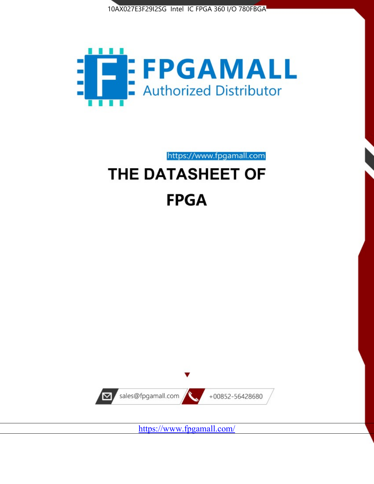



# https://www.fpgamall.com THE DATASHEET OF

# **FPGA**



<https://www.fpgamall.com/>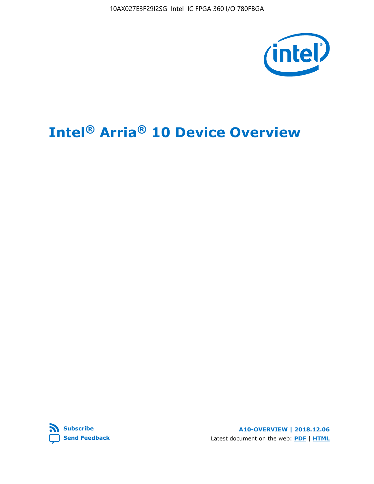10AX027E3F29I2SG Intel IC FPGA 360 I/O 780FBGA



# **Intel® Arria® 10 Device Overview**



**A10-OVERVIEW | 2018.12.06** Latest document on the web: **[PDF](https://www.intel.com/content/dam/www/programmable/us/en/pdfs/literature/hb/arria-10/a10_overview.pdf)** | **[HTML](https://www.intel.com/content/www/us/en/programmable/documentation/sam1403480274650.html)**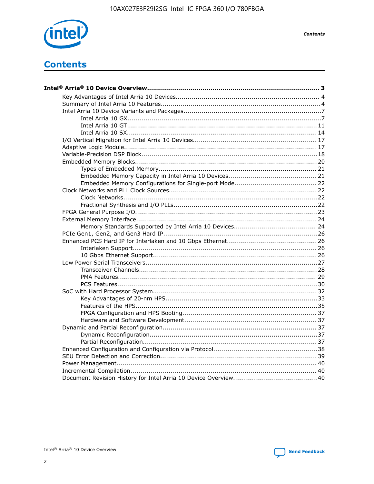

**Contents**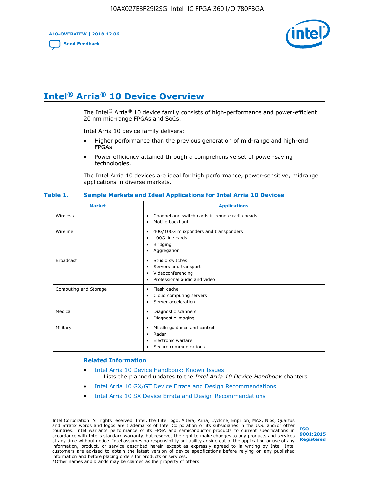**A10-OVERVIEW | 2018.12.06**

**[Send Feedback](mailto:FPGAtechdocfeedback@intel.com?subject=Feedback%20on%20Intel%20Arria%2010%20Device%20Overview%20(A10-OVERVIEW%202018.12.06)&body=We%20appreciate%20your%20feedback.%20In%20your%20comments,%20also%20specify%20the%20page%20number%20or%20paragraph.%20Thank%20you.)**



# **Intel® Arria® 10 Device Overview**

The Intel<sup>®</sup> Arria<sup>®</sup> 10 device family consists of high-performance and power-efficient 20 nm mid-range FPGAs and SoCs.

Intel Arria 10 device family delivers:

- Higher performance than the previous generation of mid-range and high-end FPGAs.
- Power efficiency attained through a comprehensive set of power-saving technologies.

The Intel Arria 10 devices are ideal for high performance, power-sensitive, midrange applications in diverse markets.

| <b>Market</b>         | <b>Applications</b>                                                                                               |
|-----------------------|-------------------------------------------------------------------------------------------------------------------|
| Wireless              | Channel and switch cards in remote radio heads<br>٠<br>Mobile backhaul<br>٠                                       |
| Wireline              | 40G/100G muxponders and transponders<br>٠<br>100G line cards<br>٠<br><b>Bridging</b><br>٠<br>Aggregation<br>٠     |
| <b>Broadcast</b>      | Studio switches<br>٠<br>Servers and transport<br>٠<br>Videoconferencing<br>٠<br>Professional audio and video<br>٠ |
| Computing and Storage | Flash cache<br>٠<br>Cloud computing servers<br>٠<br>Server acceleration<br>٠                                      |
| Medical               | Diagnostic scanners<br>٠<br>Diagnostic imaging<br>٠                                                               |
| Military              | Missile guidance and control<br>٠<br>Radar<br>٠<br>Electronic warfare<br>٠<br>Secure communications<br>٠          |

#### **Table 1. Sample Markets and Ideal Applications for Intel Arria 10 Devices**

#### **Related Information**

- [Intel Arria 10 Device Handbook: Known Issues](http://www.altera.com/support/kdb/solutions/rd07302013_646.html) Lists the planned updates to the *Intel Arria 10 Device Handbook* chapters.
- [Intel Arria 10 GX/GT Device Errata and Design Recommendations](https://www.intel.com/content/www/us/en/programmable/documentation/agz1493851706374.html#yqz1494433888646)
- [Intel Arria 10 SX Device Errata and Design Recommendations](https://www.intel.com/content/www/us/en/programmable/documentation/cru1462832385668.html#cru1462832558642)

Intel Corporation. All rights reserved. Intel, the Intel logo, Altera, Arria, Cyclone, Enpirion, MAX, Nios, Quartus and Stratix words and logos are trademarks of Intel Corporation or its subsidiaries in the U.S. and/or other countries. Intel warrants performance of its FPGA and semiconductor products to current specifications in accordance with Intel's standard warranty, but reserves the right to make changes to any products and services at any time without notice. Intel assumes no responsibility or liability arising out of the application or use of any information, product, or service described herein except as expressly agreed to in writing by Intel. Intel customers are advised to obtain the latest version of device specifications before relying on any published information and before placing orders for products or services. \*Other names and brands may be claimed as the property of others.

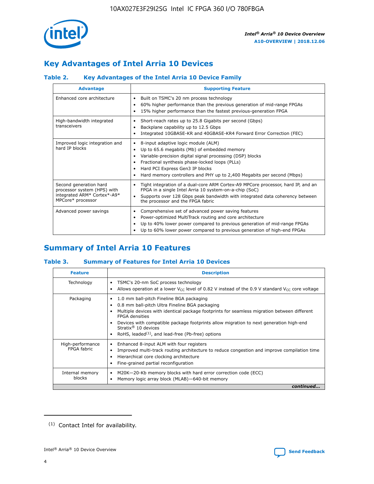

# **Key Advantages of Intel Arria 10 Devices**

# **Table 2. Key Advantages of the Intel Arria 10 Device Family**

| <b>Advantage</b>                                                                                          | <b>Supporting Feature</b>                                                                                                                                                                                                                                                                                                |
|-----------------------------------------------------------------------------------------------------------|--------------------------------------------------------------------------------------------------------------------------------------------------------------------------------------------------------------------------------------------------------------------------------------------------------------------------|
| Enhanced core architecture                                                                                | Built on TSMC's 20 nm process technology<br>٠<br>60% higher performance than the previous generation of mid-range FPGAs<br>٠<br>15% higher performance than the fastest previous-generation FPGA<br>٠                                                                                                                    |
| High-bandwidth integrated<br>transceivers                                                                 | Short-reach rates up to 25.8 Gigabits per second (Gbps)<br>٠<br>Backplane capability up to 12.5 Gbps<br>٠<br>Integrated 10GBASE-KR and 40GBASE-KR4 Forward Error Correction (FEC)<br>٠                                                                                                                                   |
| Improved logic integration and<br>hard IP blocks                                                          | 8-input adaptive logic module (ALM)<br>٠<br>Up to 65.6 megabits (Mb) of embedded memory<br>٠<br>Variable-precision digital signal processing (DSP) blocks<br>Fractional synthesis phase-locked loops (PLLs)<br>Hard PCI Express Gen3 IP blocks<br>Hard memory controllers and PHY up to 2,400 Megabits per second (Mbps) |
| Second generation hard<br>processor system (HPS) with<br>integrated ARM* Cortex*-A9*<br>MPCore* processor | Tight integration of a dual-core ARM Cortex-A9 MPCore processor, hard IP, and an<br>٠<br>FPGA in a single Intel Arria 10 system-on-a-chip (SoC)<br>Supports over 128 Gbps peak bandwidth with integrated data coherency between<br>$\bullet$<br>the processor and the FPGA fabric                                        |
| Advanced power savings                                                                                    | Comprehensive set of advanced power saving features<br>٠<br>Power-optimized MultiTrack routing and core architecture<br>٠<br>Up to 40% lower power compared to previous generation of mid-range FPGAs<br>Up to 60% lower power compared to previous generation of high-end FPGAs                                         |

# **Summary of Intel Arria 10 Features**

## **Table 3. Summary of Features for Intel Arria 10 Devices**

| <b>Feature</b>                  | <b>Description</b>                                                                                                                                                                                                                                                                                                                                                                                           |
|---------------------------------|--------------------------------------------------------------------------------------------------------------------------------------------------------------------------------------------------------------------------------------------------------------------------------------------------------------------------------------------------------------------------------------------------------------|
| Technology                      | TSMC's 20-nm SoC process technology<br>Allows operation at a lower $V_{\text{CC}}$ level of 0.82 V instead of the 0.9 V standard $V_{\text{CC}}$ core voltage                                                                                                                                                                                                                                                |
| Packaging                       | 1.0 mm ball-pitch Fineline BGA packaging<br>٠<br>0.8 mm ball-pitch Ultra Fineline BGA packaging<br>Multiple devices with identical package footprints for seamless migration between different<br><b>FPGA</b> densities<br>Devices with compatible package footprints allow migration to next generation high-end<br>Stratix <sup>®</sup> 10 devices<br>RoHS, leaded $(1)$ , and lead-free (Pb-free) options |
| High-performance<br>FPGA fabric | Enhanced 8-input ALM with four registers<br>Improved multi-track routing architecture to reduce congestion and improve compilation time<br>Hierarchical core clocking architecture<br>Fine-grained partial reconfiguration                                                                                                                                                                                   |
| Internal memory<br>blocks       | M20K-20-Kb memory blocks with hard error correction code (ECC)<br>Memory logic array block (MLAB)-640-bit memory                                                                                                                                                                                                                                                                                             |
|                                 | continued                                                                                                                                                                                                                                                                                                                                                                                                    |



<sup>(1)</sup> Contact Intel for availability.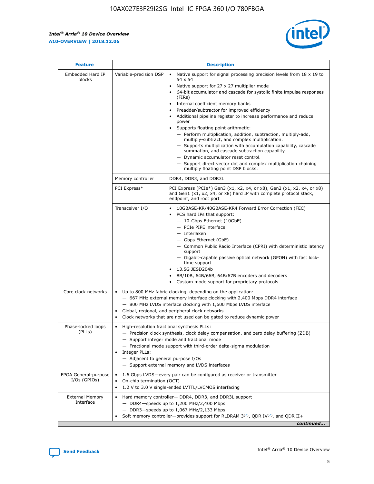$\mathsf{r}$ 



| <b>Feature</b>                         |                                                                                                                | <b>Description</b>                                                                                                                                                                                                                                                                                                                                                                                                                                                                                                                                                                                                                                                                                                                                                                                                                          |
|----------------------------------------|----------------------------------------------------------------------------------------------------------------|---------------------------------------------------------------------------------------------------------------------------------------------------------------------------------------------------------------------------------------------------------------------------------------------------------------------------------------------------------------------------------------------------------------------------------------------------------------------------------------------------------------------------------------------------------------------------------------------------------------------------------------------------------------------------------------------------------------------------------------------------------------------------------------------------------------------------------------------|
| Embedded Hard IP<br>blocks             | Variable-precision DSP                                                                                         | Native support for signal processing precision levels from $18 \times 19$ to<br>$\bullet$<br>54 x 54<br>Native support for 27 x 27 multiplier mode<br>64-bit accumulator and cascade for systolic finite impulse responses<br>(FIRS)<br>Internal coefficient memory banks<br>٠<br>Preadder/subtractor for improved efficiency<br>Additional pipeline register to increase performance and reduce<br>power<br>Supports floating point arithmetic:<br>- Perform multiplication, addition, subtraction, multiply-add,<br>multiply-subtract, and complex multiplication.<br>- Supports multiplication with accumulation capability, cascade<br>summation, and cascade subtraction capability.<br>- Dynamic accumulator reset control.<br>- Support direct vector dot and complex multiplication chaining<br>multiply floating point DSP blocks. |
|                                        | Memory controller                                                                                              | DDR4, DDR3, and DDR3L                                                                                                                                                                                                                                                                                                                                                                                                                                                                                                                                                                                                                                                                                                                                                                                                                       |
|                                        | PCI Express*                                                                                                   | PCI Express (PCIe*) Gen3 (x1, x2, x4, or x8), Gen2 (x1, x2, x4, or x8)<br>and Gen1 (x1, x2, x4, or x8) hard IP with complete protocol stack,<br>endpoint, and root port                                                                                                                                                                                                                                                                                                                                                                                                                                                                                                                                                                                                                                                                     |
|                                        | Transceiver I/O                                                                                                | 10GBASE-KR/40GBASE-KR4 Forward Error Correction (FEC)<br>PCS hard IPs that support:<br>- 10-Gbps Ethernet (10GbE)<br>- PCIe PIPE interface<br>- Interlaken<br>- Gbps Ethernet (GbE)<br>- Common Public Radio Interface (CPRI) with deterministic latency<br>support<br>- Gigabit-capable passive optical network (GPON) with fast lock-<br>time support<br>13.5G JESD204b<br>8B/10B, 64B/66B, 64B/67B encoders and decoders<br>Custom mode support for proprietary protocols                                                                                                                                                                                                                                                                                                                                                                |
| Core clock networks                    | $\bullet$                                                                                                      | Up to 800 MHz fabric clocking, depending on the application:<br>- 667 MHz external memory interface clocking with 2,400 Mbps DDR4 interface<br>- 800 MHz LVDS interface clocking with 1,600 Mbps LVDS interface<br>Global, regional, and peripheral clock networks<br>Clock networks that are not used can be gated to reduce dynamic power                                                                                                                                                                                                                                                                                                                                                                                                                                                                                                 |
| Phase-locked loops<br>(PLLs)           | High-resolution fractional synthesis PLLs:<br>$\bullet$<br>Integer PLLs:<br>- Adjacent to general purpose I/Os | - Precision clock synthesis, clock delay compensation, and zero delay buffering (ZDB)<br>- Support integer mode and fractional mode<br>- Fractional mode support with third-order delta-sigma modulation<br>- Support external memory and LVDS interfaces                                                                                                                                                                                                                                                                                                                                                                                                                                                                                                                                                                                   |
| FPGA General-purpose<br>$I/Os$ (GPIOs) | On-chip termination (OCT)<br>$\bullet$                                                                         | 1.6 Gbps LVDS-every pair can be configured as receiver or transmitter<br>1.2 V to 3.0 V single-ended LVTTL/LVCMOS interfacing                                                                                                                                                                                                                                                                                                                                                                                                                                                                                                                                                                                                                                                                                                               |
| <b>External Memory</b><br>Interface    |                                                                                                                | Hard memory controller- DDR4, DDR3, and DDR3L support<br>$-$ DDR4 $-$ speeds up to 1,200 MHz/2,400 Mbps<br>- DDR3-speeds up to 1,067 MHz/2,133 Mbps<br>Soft memory controller—provides support for RLDRAM $3^{(2)}$ , QDR IV $(2)$ , and QDR II+<br>continued                                                                                                                                                                                                                                                                                                                                                                                                                                                                                                                                                                               |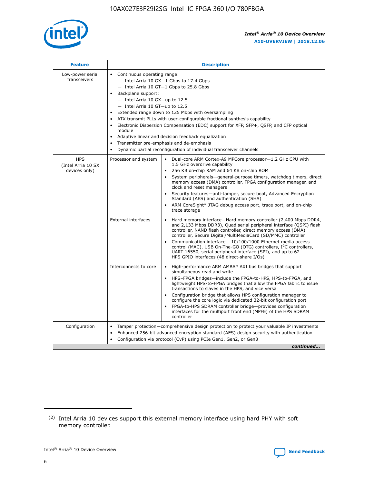

| <b>Feature</b>                                    | <b>Description</b>                                                                                                                                                                                                                                                                                                                                                                                                                                                                                                                                                                                                                                                        |
|---------------------------------------------------|---------------------------------------------------------------------------------------------------------------------------------------------------------------------------------------------------------------------------------------------------------------------------------------------------------------------------------------------------------------------------------------------------------------------------------------------------------------------------------------------------------------------------------------------------------------------------------------------------------------------------------------------------------------------------|
| Low-power serial<br>transceivers                  | • Continuous operating range:<br>- Intel Arria 10 GX-1 Gbps to 17.4 Gbps<br>$-$ Intel Arria 10 GT $-1$ Gbps to 25.8 Gbps<br>Backplane support:<br>$\bullet$<br>$-$ Intel Arria 10 GX-up to 12.5<br>$-$ Intel Arria 10 GT-up to 12.5<br>Extended range down to 125 Mbps with oversampling<br>ATX transmit PLLs with user-configurable fractional synthesis capability<br>Electronic Dispersion Compensation (EDC) support for XFP, SFP+, OSFP, and CFP optical<br>module<br>Adaptive linear and decision feedback equalization<br>$\bullet$<br>Transmitter pre-emphasis and de-emphasis<br>$\bullet$<br>Dynamic partial reconfiguration of individual transceiver channels |
| <b>HPS</b><br>(Intel Arria 10 SX<br>devices only) | Dual-core ARM Cortex-A9 MPCore processor-1.2 GHz CPU with<br>Processor and system<br>$\bullet$<br>1.5 GHz overdrive capability<br>256 KB on-chip RAM and 64 KB on-chip ROM<br>System peripherals-general-purpose timers, watchdog timers, direct<br>memory access (DMA) controller, FPGA configuration manager, and<br>clock and reset managers<br>• Security features—anti-tamper, secure boot, Advanced Encryption<br>Standard (AES) and authentication (SHA)<br>ARM CoreSight* JTAG debug access port, trace port, and on-chip<br>$\bullet$<br>trace storage                                                                                                           |
|                                                   | <b>External interfaces</b><br>Hard memory interface—Hard memory controller (2,400 Mbps DDR4,<br>and 2,133 Mbps DDR3), Quad serial peripheral interface (QSPI) flash<br>controller, NAND flash controller, direct memory access (DMA)<br>controller, Secure Digital/MultiMediaCard (SD/MMC) controller<br>Communication interface-10/100/1000 Ethernet media access<br>$\bullet$<br>control (MAC), USB On-The-GO (OTG) controllers, I <sup>2</sup> C controllers,<br>UART 16550, serial peripheral interface (SPI), and up to 62<br>HPS GPIO interfaces (48 direct-share I/Os)                                                                                             |
|                                                   | Interconnects to core<br>• High-performance ARM AMBA* AXI bus bridges that support<br>simultaneous read and write<br>HPS-FPGA bridges-include the FPGA-to-HPS, HPS-to-FPGA, and<br>$\bullet$<br>lightweight HPS-to-FPGA bridges that allow the FPGA fabric to issue<br>transactions to slaves in the HPS, and vice versa<br>Configuration bridge that allows HPS configuration manager to<br>configure the core logic via dedicated 32-bit configuration port<br>FPGA-to-HPS SDRAM controller bridge-provides configuration<br>interfaces for the multiport front end (MPFE) of the HPS SDRAM<br>controller                                                               |
| Configuration                                     | Tamper protection—comprehensive design protection to protect your valuable IP investments<br>Enhanced 256-bit advanced encryption standard (AES) design security with authentication<br>$\bullet$<br>Configuration via protocol (CvP) using PCIe Gen1, Gen2, or Gen3<br>continued                                                                                                                                                                                                                                                                                                                                                                                         |

<sup>(2)</sup> Intel Arria 10 devices support this external memory interface using hard PHY with soft memory controller.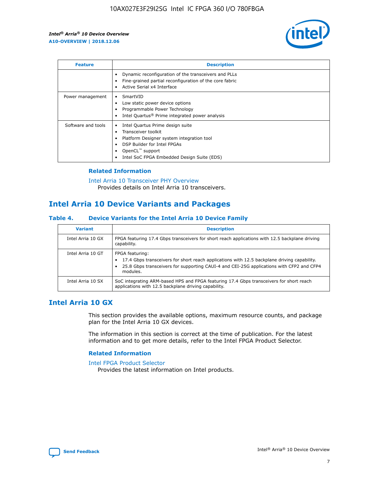

| <b>Feature</b>     | <b>Description</b>                                                                                                                                                                                               |
|--------------------|------------------------------------------------------------------------------------------------------------------------------------------------------------------------------------------------------------------|
|                    | Dynamic reconfiguration of the transceivers and PLLs<br>Fine-grained partial reconfiguration of the core fabric<br>Active Serial x4 Interface                                                                    |
| Power management   | SmartVID<br>Low static power device options<br>Programmable Power Technology<br>Intel Quartus <sup>®</sup> Prime integrated power analysis                                                                       |
| Software and tools | Intel Quartus Prime design suite<br>Transceiver toolkit<br>Platform Designer system integration tool<br>DSP Builder for Intel FPGAs<br>OpenCL <sup>™</sup> support<br>Intel SoC FPGA Embedded Design Suite (EDS) |

## **Related Information**

[Intel Arria 10 Transceiver PHY Overview](https://www.intel.com/content/www/us/en/programmable/documentation/nik1398707230472.html#nik1398706768037) Provides details on Intel Arria 10 transceivers.

# **Intel Arria 10 Device Variants and Packages**

#### **Table 4. Device Variants for the Intel Arria 10 Device Family**

| <b>Variant</b>    | <b>Description</b>                                                                                                                                                                                                     |
|-------------------|------------------------------------------------------------------------------------------------------------------------------------------------------------------------------------------------------------------------|
| Intel Arria 10 GX | FPGA featuring 17.4 Gbps transceivers for short reach applications with 12.5 backplane driving<br>capability.                                                                                                          |
| Intel Arria 10 GT | FPGA featuring:<br>17.4 Gbps transceivers for short reach applications with 12.5 backplane driving capability.<br>25.8 Gbps transceivers for supporting CAUI-4 and CEI-25G applications with CFP2 and CFP4<br>modules. |
| Intel Arria 10 SX | SoC integrating ARM-based HPS and FPGA featuring 17.4 Gbps transceivers for short reach<br>applications with 12.5 backplane driving capability.                                                                        |

# **Intel Arria 10 GX**

This section provides the available options, maximum resource counts, and package plan for the Intel Arria 10 GX devices.

The information in this section is correct at the time of publication. For the latest information and to get more details, refer to the Intel FPGA Product Selector.

#### **Related Information**

#### [Intel FPGA Product Selector](http://www.altera.com/products/selector/psg-selector.html) Provides the latest information on Intel products.

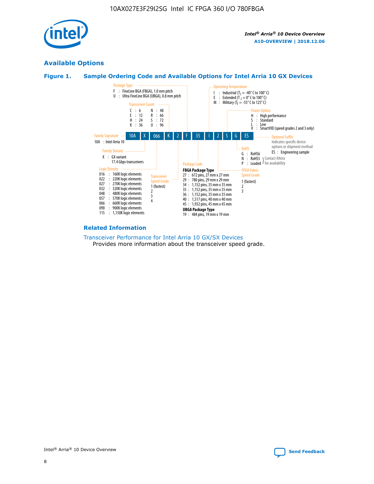

# **Available Options**





#### **Related Information**

#### [Transceiver Performance for Intel Arria 10 GX/SX Devices](https://www.intel.com/content/www/us/en/programmable/documentation/mcn1413182292568.html#mcn1413213965502) Provides more information about the transceiver speed grade.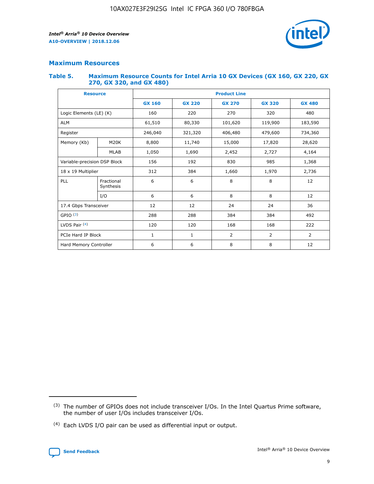

# **Maximum Resources**

#### **Table 5. Maximum Resource Counts for Intel Arria 10 GX Devices (GX 160, GX 220, GX 270, GX 320, and GX 480)**

| <b>Resource</b>         |                                                   | <b>Product Line</b> |                   |                |                |                |  |  |  |
|-------------------------|---------------------------------------------------|---------------------|-------------------|----------------|----------------|----------------|--|--|--|
|                         |                                                   | <b>GX 160</b>       | <b>GX 220</b>     | <b>GX 270</b>  | <b>GX 320</b>  | <b>GX 480</b>  |  |  |  |
| Logic Elements (LE) (K) |                                                   | 160                 | 220               | 270            | 320            | 480            |  |  |  |
| <b>ALM</b>              |                                                   | 61,510              | 80,330            | 101,620        | 119,900        | 183,590        |  |  |  |
| Register                |                                                   | 246,040             | 321,320           | 406,480        |                | 734,360        |  |  |  |
| Memory (Kb)             | M <sub>20</sub> K                                 | 8,800<br>11,740     |                   | 15,000         | 17,820         | 28,620         |  |  |  |
| <b>MLAB</b>             |                                                   | 1,050               | 1,690             | 2,452          | 2,727          | 4,164          |  |  |  |
|                         | Variable-precision DSP Block<br>156<br>192<br>830 |                     |                   |                | 985            | 1,368          |  |  |  |
| 18 x 19 Multiplier      |                                                   | 312                 | 384               | 1,970<br>1,660 |                | 2,736          |  |  |  |
| PLL                     | Fractional<br>Synthesis                           | 6                   | 6                 | 8              | 8              | 12             |  |  |  |
|                         | I/O                                               | 6                   | 6                 | 8              | 8              | 12             |  |  |  |
| 17.4 Gbps Transceiver   |                                                   | 12                  | 12                | 24             | 24             | 36             |  |  |  |
| GPIO <sup>(3)</sup>     |                                                   | 288                 | 288<br>384<br>384 |                |                | 492            |  |  |  |
| LVDS Pair $(4)$         |                                                   | 120                 | 120               | 168            | 168            | 222            |  |  |  |
| PCIe Hard IP Block      |                                                   | 1                   | 1                 | 2              | $\overline{2}$ | $\overline{2}$ |  |  |  |
| Hard Memory Controller  |                                                   | 6                   | 6                 | 8              | 8              | 12             |  |  |  |

<sup>(4)</sup> Each LVDS I/O pair can be used as differential input or output.



<sup>(3)</sup> The number of GPIOs does not include transceiver I/Os. In the Intel Quartus Prime software, the number of user I/Os includes transceiver I/Os.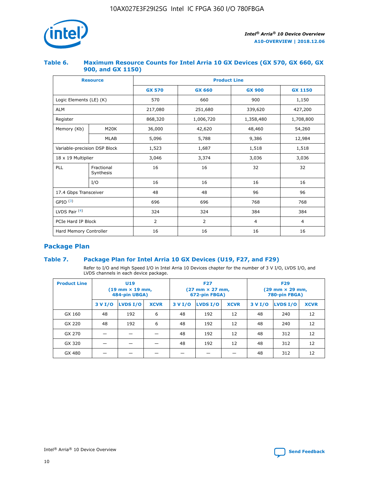

## **Table 6. Maximum Resource Counts for Intel Arria 10 GX Devices (GX 570, GX 660, GX 900, and GX 1150)**

|                                           | <b>Resource</b>           | <b>Product Line</b> |                |                |                |  |  |  |
|-------------------------------------------|---------------------------|---------------------|----------------|----------------|----------------|--|--|--|
|                                           |                           | <b>GX 570</b>       | <b>GX 660</b>  | <b>GX 900</b>  | <b>GX 1150</b> |  |  |  |
| Logic Elements (LE) (K)                   |                           | 570                 | 660            | 900            | 1,150          |  |  |  |
| <b>ALM</b>                                |                           | 217,080             | 251,680        | 339,620        | 427,200        |  |  |  |
| Register                                  |                           | 868,320             | 1,006,720      | 1,358,480      | 1,708,800      |  |  |  |
| Memory (Kb)<br><b>M20K</b><br><b>MLAB</b> |                           | 36,000              | 42,620         | 48,460         | 54,260         |  |  |  |
|                                           |                           | 5,096               | 5,788          | 9,386          | 12,984         |  |  |  |
| Variable-precision DSP Block              |                           | 1,523               | 1,687          | 1,518          | 1,518          |  |  |  |
|                                           | $18 \times 19$ Multiplier |                     | 3,374          | 3,036          | 3,036          |  |  |  |
| PLL                                       | Fractional<br>Synthesis   | 16                  | 16             | 32             | 32             |  |  |  |
|                                           | I/O                       | 16                  | 16             | 16             | 16             |  |  |  |
| 17.4 Gbps Transceiver                     |                           | 48                  | 48             | 96             | 96             |  |  |  |
| GPIO <sup>(3)</sup>                       |                           | 696                 | 696            | 768            | 768            |  |  |  |
| LVDS Pair $(4)$                           |                           | 324                 | 324            | 384            | 384            |  |  |  |
| PCIe Hard IP Block                        |                           | $\overline{2}$      | $\overline{2}$ | $\overline{4}$ | $\overline{4}$ |  |  |  |
| Hard Memory Controller                    |                           | 16                  | 16             | 16             | 16             |  |  |  |

# **Package Plan**

# **Table 7. Package Plan for Intel Arria 10 GX Devices (U19, F27, and F29)**

Refer to I/O and High Speed I/O in Intel Arria 10 Devices chapter for the number of 3 V I/O, LVDS I/O, and LVDS channels in each device package.

| <b>Product Line</b> |         | <b>U19</b><br>$(19 \text{ mm} \times 19 \text{ mm})$<br>484-pin UBGA) |             | <b>F27</b><br>(27 mm × 27 mm,<br>672-pin FBGA) |          |             | <b>F29</b><br>(29 mm × 29 mm,<br>780-pin FBGA) |          |             |  |
|---------------------|---------|-----------------------------------------------------------------------|-------------|------------------------------------------------|----------|-------------|------------------------------------------------|----------|-------------|--|
|                     | 3 V I/O | LVDS I/O                                                              | <b>XCVR</b> | 3 V I/O                                        | LVDS I/O | <b>XCVR</b> | 3 V I/O                                        | LVDS I/O | <b>XCVR</b> |  |
| GX 160              | 48      | 192                                                                   | 6           | 48                                             | 192      | 12          | 48                                             | 240      | 12          |  |
| GX 220              | 48      | 192                                                                   | 6           | 48                                             | 192      | 12          | 48                                             | 240      | 12          |  |
| GX 270              |         |                                                                       |             | 48                                             | 192      | 12          | 48                                             | 312      | 12          |  |
| GX 320              |         |                                                                       |             | 48                                             | 192      | 12          | 48                                             | 312      | 12          |  |
| GX 480              |         |                                                                       |             |                                                |          |             | 48                                             | 312      | 12          |  |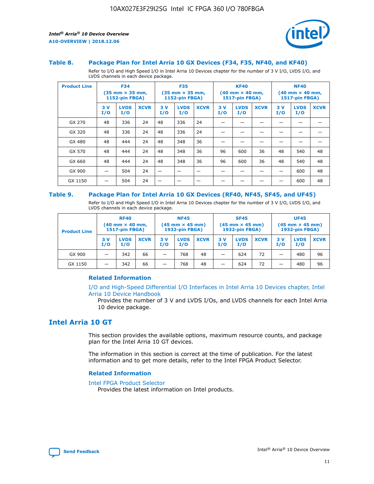

#### **Table 8. Package Plan for Intel Arria 10 GX Devices (F34, F35, NF40, and KF40)**

Refer to I/O and High Speed I/O in Intel Arria 10 Devices chapter for the number of 3 V I/O, LVDS I/O, and LVDS channels in each device package.

| <b>Product Line</b> |           | <b>F34</b><br>$(35 \text{ mm} \times 35 \text{ mm})$<br>1152-pin FBGA) |             |           | <b>F35</b><br>$(35 \text{ mm} \times 35 \text{ mm})$<br><b>1152-pin FBGA)</b> |             | <b>KF40</b><br>$(40$ mm $\times$ 40 mm,<br>1517-pin FBGA) |                    | <b>NF40</b><br>$(40$ mm $\times$ 40 mm,<br><b>1517-pin FBGA)</b> |            |                    |             |
|---------------------|-----------|------------------------------------------------------------------------|-------------|-----------|-------------------------------------------------------------------------------|-------------|-----------------------------------------------------------|--------------------|------------------------------------------------------------------|------------|--------------------|-------------|
|                     | 3V<br>I/O | <b>LVDS</b><br>I/O                                                     | <b>XCVR</b> | 3V<br>I/O | <b>LVDS</b><br>I/O                                                            | <b>XCVR</b> | 3V<br>I/O                                                 | <b>LVDS</b><br>I/O | <b>XCVR</b>                                                      | 3 V<br>I/O | <b>LVDS</b><br>I/O | <b>XCVR</b> |
| GX 270              | 48        | 336                                                                    | 24          | 48        | 336                                                                           | 24          |                                                           |                    |                                                                  |            |                    |             |
| GX 320              | 48        | 336                                                                    | 24          | 48        | 336                                                                           | 24          |                                                           |                    |                                                                  |            |                    |             |
| GX 480              | 48        | 444                                                                    | 24          | 48        | 348                                                                           | 36          |                                                           |                    |                                                                  |            |                    |             |
| GX 570              | 48        | 444                                                                    | 24          | 48        | 348                                                                           | 36          | 96                                                        | 600                | 36                                                               | 48         | 540                | 48          |
| GX 660              | 48        | 444                                                                    | 24          | 48        | 348                                                                           | 36          | 96                                                        | 600                | 36                                                               | 48         | 540                | 48          |
| GX 900              |           | 504                                                                    | 24          | -         |                                                                               |             |                                                           |                    |                                                                  |            | 600                | 48          |
| GX 1150             |           | 504                                                                    | 24          |           |                                                                               |             |                                                           |                    |                                                                  |            | 600                | 48          |

#### **Table 9. Package Plan for Intel Arria 10 GX Devices (RF40, NF45, SF45, and UF45)**

Refer to I/O and High Speed I/O in Intel Arria 10 Devices chapter for the number of 3 V I/O, LVDS I/O, and LVDS channels in each device package.

| <b>Product Line</b> | <b>RF40</b><br>$(40$ mm $\times$ 40 mm,<br>1517-pin FBGA) |                    | <b>NF45</b><br>$(45 \text{ mm} \times 45 \text{ mm})$<br><b>1932-pin FBGA)</b> |            |                    | <b>SF45</b><br>$(45 \text{ mm} \times 45 \text{ mm})$<br><b>1932-pin FBGA)</b> |            |                    | <b>UF45</b><br>$(45 \text{ mm} \times 45 \text{ mm})$<br><b>1932-pin FBGA)</b> |           |                    |             |
|---------------------|-----------------------------------------------------------|--------------------|--------------------------------------------------------------------------------|------------|--------------------|--------------------------------------------------------------------------------|------------|--------------------|--------------------------------------------------------------------------------|-----------|--------------------|-------------|
|                     | 3V<br>I/O                                                 | <b>LVDS</b><br>I/O | <b>XCVR</b>                                                                    | 3 V<br>I/O | <b>LVDS</b><br>I/O | <b>XCVR</b>                                                                    | 3 V<br>I/O | <b>LVDS</b><br>I/O | <b>XCVR</b>                                                                    | 3V<br>I/O | <b>LVDS</b><br>I/O | <b>XCVR</b> |
| GX 900              |                                                           | 342                | 66                                                                             | _          | 768                | 48                                                                             |            | 624                | 72                                                                             |           | 480                | 96          |
| GX 1150             |                                                           | 342                | 66                                                                             | _          | 768                | 48                                                                             |            | 624                | 72                                                                             |           | 480                | 96          |

## **Related Information**

[I/O and High-Speed Differential I/O Interfaces in Intel Arria 10 Devices chapter, Intel](https://www.intel.com/content/www/us/en/programmable/documentation/sam1403482614086.html#sam1403482030321) [Arria 10 Device Handbook](https://www.intel.com/content/www/us/en/programmable/documentation/sam1403482614086.html#sam1403482030321)

Provides the number of 3 V and LVDS I/Os, and LVDS channels for each Intel Arria 10 device package.

# **Intel Arria 10 GT**

This section provides the available options, maximum resource counts, and package plan for the Intel Arria 10 GT devices.

The information in this section is correct at the time of publication. For the latest information and to get more details, refer to the Intel FPGA Product Selector.

#### **Related Information**

#### [Intel FPGA Product Selector](http://www.altera.com/products/selector/psg-selector.html)

Provides the latest information on Intel products.

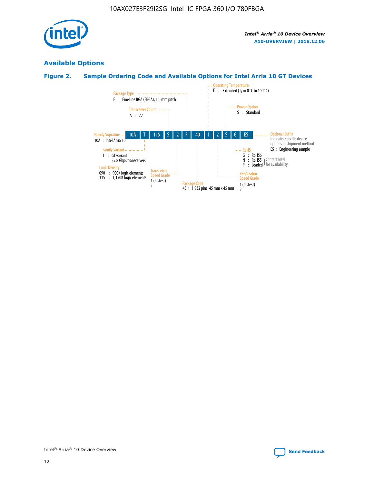

# **Available Options**

# **Figure 2. Sample Ordering Code and Available Options for Intel Arria 10 GT Devices**

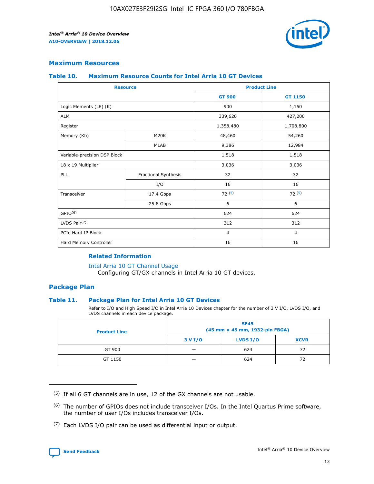

## **Maximum Resources**

#### **Table 10. Maximum Resource Counts for Intel Arria 10 GT Devices**

| <b>Resource</b>              |                      | <b>Product Line</b> |                |  |
|------------------------------|----------------------|---------------------|----------------|--|
|                              |                      | <b>GT 900</b>       | <b>GT 1150</b> |  |
| Logic Elements (LE) (K)      |                      | 900                 | 1,150          |  |
| <b>ALM</b>                   |                      | 339,620             | 427,200        |  |
| Register                     |                      | 1,358,480           | 1,708,800      |  |
| Memory (Kb)                  | M20K                 | 48,460              | 54,260         |  |
|                              | <b>MLAB</b>          | 9,386               | 12,984         |  |
| Variable-precision DSP Block |                      | 1,518               | 1,518          |  |
| 18 x 19 Multiplier           |                      | 3,036               | 3,036          |  |
| PLL                          | Fractional Synthesis | 32                  | 32             |  |
|                              | I/O                  | 16                  | 16             |  |
| Transceiver                  | 17.4 Gbps            | 72(5)               | 72(5)          |  |
|                              | 25.8 Gbps            | 6                   | 6              |  |
| GPIO <sup>(6)</sup>          |                      | 624                 | 624            |  |
| LVDS Pair $(7)$              |                      | 312                 | 312            |  |
| PCIe Hard IP Block           |                      | $\overline{4}$      | $\overline{4}$ |  |
| Hard Memory Controller       |                      | 16                  | 16             |  |

## **Related Information**

#### [Intel Arria 10 GT Channel Usage](https://www.intel.com/content/www/us/en/programmable/documentation/nik1398707230472.html#nik1398707008178)

Configuring GT/GX channels in Intel Arria 10 GT devices.

## **Package Plan**

## **Table 11. Package Plan for Intel Arria 10 GT Devices**

Refer to I/O and High Speed I/O in Intel Arria 10 Devices chapter for the number of 3 V I/O, LVDS I/O, and LVDS channels in each device package.

| <b>Product Line</b> | <b>SF45</b><br>(45 mm × 45 mm, 1932-pin FBGA) |                 |             |  |  |  |
|---------------------|-----------------------------------------------|-----------------|-------------|--|--|--|
|                     | 3 V I/O                                       | <b>LVDS I/O</b> | <b>XCVR</b> |  |  |  |
| GT 900              |                                               | 624             | 72          |  |  |  |
| GT 1150             |                                               | 624             | 72          |  |  |  |

<sup>(7)</sup> Each LVDS I/O pair can be used as differential input or output.



 $(5)$  If all 6 GT channels are in use, 12 of the GX channels are not usable.

<sup>(6)</sup> The number of GPIOs does not include transceiver I/Os. In the Intel Quartus Prime software, the number of user I/Os includes transceiver I/Os.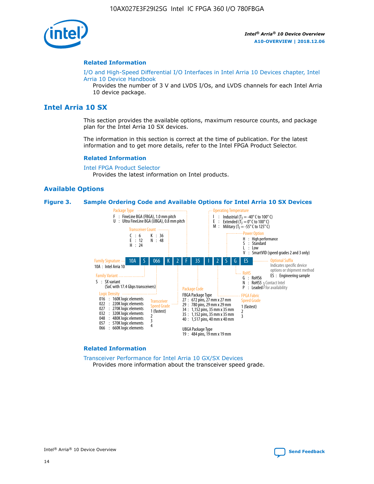

#### **Related Information**

[I/O and High-Speed Differential I/O Interfaces in Intel Arria 10 Devices chapter, Intel](https://www.intel.com/content/www/us/en/programmable/documentation/sam1403482614086.html#sam1403482030321) [Arria 10 Device Handbook](https://www.intel.com/content/www/us/en/programmable/documentation/sam1403482614086.html#sam1403482030321)

Provides the number of 3 V and LVDS I/Os, and LVDS channels for each Intel Arria 10 device package.

# **Intel Arria 10 SX**

This section provides the available options, maximum resource counts, and package plan for the Intel Arria 10 SX devices.

The information in this section is correct at the time of publication. For the latest information and to get more details, refer to the Intel FPGA Product Selector.

#### **Related Information**

[Intel FPGA Product Selector](http://www.altera.com/products/selector/psg-selector.html) Provides the latest information on Intel products.

## **Available Options**

#### **Figure 3. Sample Ordering Code and Available Options for Intel Arria 10 SX Devices**



#### **Related Information**

[Transceiver Performance for Intel Arria 10 GX/SX Devices](https://www.intel.com/content/www/us/en/programmable/documentation/mcn1413182292568.html#mcn1413213965502) Provides more information about the transceiver speed grade.

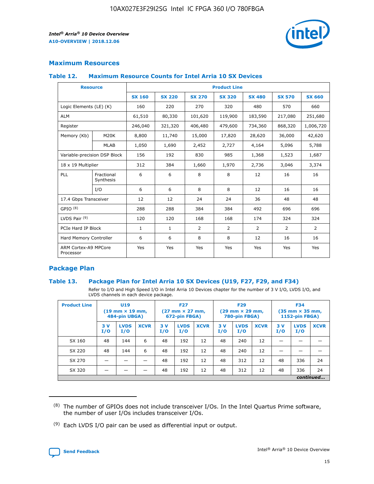

# **Maximum Resources**

#### **Table 12. Maximum Resource Counts for Intel Arria 10 SX Devices**

| <b>Resource</b>                   |                         | <b>Product Line</b> |               |               |                |               |               |               |  |  |  |
|-----------------------------------|-------------------------|---------------------|---------------|---------------|----------------|---------------|---------------|---------------|--|--|--|
|                                   |                         | <b>SX 160</b>       | <b>SX 220</b> | <b>SX 270</b> | <b>SX 320</b>  | <b>SX 480</b> | <b>SX 570</b> | <b>SX 660</b> |  |  |  |
| Logic Elements (LE) (K)           |                         | 160                 | 220           | 270           | 320            | 480           | 570           | 660           |  |  |  |
| <b>ALM</b>                        |                         | 61,510              | 80,330        | 101,620       | 119,900        | 183,590       | 217,080       | 251,680       |  |  |  |
| Register                          |                         | 246,040             | 321,320       | 406,480       | 479,600        | 734,360       | 868,320       | 1,006,720     |  |  |  |
| Memory (Kb)                       | M20K                    | 8,800               | 11,740        | 15,000        | 17,820         | 28,620        | 36,000        | 42,620        |  |  |  |
|                                   | <b>MLAB</b>             | 1,050               | 1,690         | 2,452         | 2,727          | 4,164         | 5,096         | 5,788         |  |  |  |
| Variable-precision DSP Block      |                         | 156                 | 192           | 830           | 985            | 1,368         | 1,523         | 1,687         |  |  |  |
| 18 x 19 Multiplier                |                         | 312                 | 384           | 1,660         | 1,970          | 2,736         | 3,046         | 3,374         |  |  |  |
| PLL                               | Fractional<br>Synthesis | 6                   | 6             | 8             | 8              | 12            | 16            | 16            |  |  |  |
|                                   | I/O                     | 6                   | 6             | 8             | 8              | 12            | 16            | 16            |  |  |  |
| 17.4 Gbps Transceiver             |                         | 12                  | 12            | 24            | 24             | 36            | 48            | 48            |  |  |  |
| GPIO <sup>(8)</sup>               |                         | 288                 | 288           | 384           | 384            | 492           | 696           | 696           |  |  |  |
| LVDS Pair $(9)$                   |                         | 120                 | 120           | 168           | 168            | 174           | 324           | 324           |  |  |  |
|                                   | PCIe Hard IP Block      |                     | $\mathbf{1}$  | 2             | $\overline{2}$ | 2             | 2             | 2             |  |  |  |
| Hard Memory Controller            |                         | 6                   | 6             | 8             | 8              | 12            | 16            | 16            |  |  |  |
| ARM Cortex-A9 MPCore<br>Processor |                         | Yes                 | Yes           | Yes           | Yes            | Yes           | Yes           | Yes           |  |  |  |

# **Package Plan**

## **Table 13. Package Plan for Intel Arria 10 SX Devices (U19, F27, F29, and F34)**

Refer to I/O and High Speed I/O in Intel Arria 10 Devices chapter for the number of 3 V I/O, LVDS I/O, and LVDS channels in each device package.

| <b>Product Line</b> | U19<br>$(19 \text{ mm} \times 19 \text{ mm})$ .<br>484-pin UBGA) |                    |             | <b>F27</b><br>$(27 \text{ mm} \times 27 \text{ mm})$<br>672-pin FBGA) |                    | <b>F29</b><br>$(29 \text{ mm} \times 29 \text{ mm})$<br>780-pin FBGA) |           |                    | <b>F34</b><br>$(35 \text{ mm} \times 35 \text{ mm})$<br><b>1152-pin FBGA)</b> |           |                    |             |
|---------------------|------------------------------------------------------------------|--------------------|-------------|-----------------------------------------------------------------------|--------------------|-----------------------------------------------------------------------|-----------|--------------------|-------------------------------------------------------------------------------|-----------|--------------------|-------------|
|                     | 3V<br>I/O                                                        | <b>LVDS</b><br>I/O | <b>XCVR</b> | 3V<br>I/O                                                             | <b>LVDS</b><br>I/O | <b>XCVR</b>                                                           | 3V<br>I/O | <b>LVDS</b><br>I/O | <b>XCVR</b>                                                                   | 3V<br>I/O | <b>LVDS</b><br>I/O | <b>XCVR</b> |
| SX 160              | 48                                                               | 144                | 6           | 48                                                                    | 192                | 12                                                                    | 48        | 240                | 12                                                                            |           |                    |             |
| SX 220              | 48                                                               | 144                | 6           | 48                                                                    | 192                | 12                                                                    | 48        | 240                | 12                                                                            |           |                    |             |
| SX 270              |                                                                  |                    |             | 48                                                                    | 192                | 12                                                                    | 48        | 312                | 12                                                                            | 48        | 336                | 24          |
| SX 320              |                                                                  |                    |             | 48                                                                    | 192                | 12                                                                    | 48        | 312                | 12                                                                            | 48        | 336                | 24          |
|                     | continued                                                        |                    |             |                                                                       |                    |                                                                       |           |                    |                                                                               |           |                    |             |

 $(8)$  The number of GPIOs does not include transceiver I/Os. In the Intel Quartus Prime software, the number of user I/Os includes transceiver I/Os.

 $(9)$  Each LVDS I/O pair can be used as differential input or output.

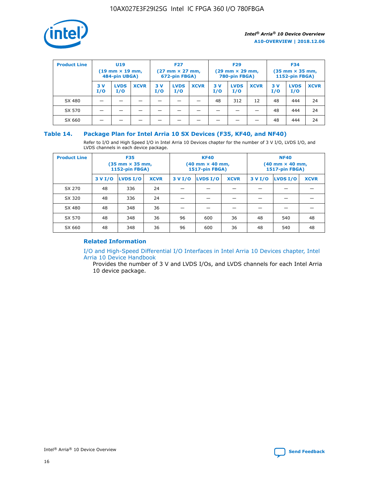

| <b>Product Line</b> | U <sub>19</sub><br>$(19 \text{ mm} \times 19 \text{ mm})$<br>484-pin UBGA) |                    | <b>F27</b><br>$(27 \text{ mm} \times 27 \text{ mm})$<br>672-pin FBGA) |           | <b>F29</b><br>$(29 \text{ mm} \times 29 \text{ mm})$<br>780-pin FBGA) |             |           | <b>F34</b><br>$(35$ mm $\times$ 35 mm,<br><b>1152-pin FBGA)</b> |             |           |                    |             |
|---------------------|----------------------------------------------------------------------------|--------------------|-----------------------------------------------------------------------|-----------|-----------------------------------------------------------------------|-------------|-----------|-----------------------------------------------------------------|-------------|-----------|--------------------|-------------|
|                     | 3V<br>I/O                                                                  | <b>LVDS</b><br>I/O | <b>XCVR</b>                                                           | 3V<br>I/O | <b>LVDS</b><br>I/O                                                    | <b>XCVR</b> | 3V<br>I/O | <b>LVDS</b><br>I/O                                              | <b>XCVR</b> | 3V<br>I/O | <b>LVDS</b><br>I/O | <b>XCVR</b> |
| SX 480              |                                                                            |                    |                                                                       |           |                                                                       |             | 48        | 312                                                             | 12          | 48        | 444                | 24          |
| SX 570              |                                                                            |                    |                                                                       |           |                                                                       |             |           |                                                                 |             | 48        | 444                | 24          |
| SX 660              |                                                                            |                    |                                                                       |           |                                                                       |             |           |                                                                 |             | 48        | 444                | 24          |

## **Table 14. Package Plan for Intel Arria 10 SX Devices (F35, KF40, and NF40)**

Refer to I/O and High Speed I/O in Intel Arria 10 Devices chapter for the number of 3 V I/O, LVDS I/O, and LVDS channels in each device package.

| <b>Product Line</b> | <b>F35</b><br>$(35 \text{ mm} \times 35 \text{ mm})$<br><b>1152-pin FBGA)</b> |          |             |                                           | <b>KF40</b><br>(40 mm × 40 mm,<br>1517-pin FBGA) |    | <b>NF40</b><br>$(40 \text{ mm} \times 40 \text{ mm})$<br>1517-pin FBGA) |          |             |  |
|---------------------|-------------------------------------------------------------------------------|----------|-------------|-------------------------------------------|--------------------------------------------------|----|-------------------------------------------------------------------------|----------|-------------|--|
|                     | 3 V I/O                                                                       | LVDS I/O | <b>XCVR</b> | <b>LVDS I/O</b><br><b>XCVR</b><br>3 V I/O |                                                  |    | 3 V I/O                                                                 | LVDS I/O | <b>XCVR</b> |  |
| SX 270              | 48                                                                            | 336      | 24          |                                           |                                                  |    |                                                                         |          |             |  |
| SX 320              | 48                                                                            | 336      | 24          |                                           |                                                  |    |                                                                         |          |             |  |
| SX 480              | 48                                                                            | 348      | 36          |                                           |                                                  |    |                                                                         |          |             |  |
| SX 570              | 48                                                                            | 348      | 36          | 96<br>36<br>600                           |                                                  | 48 | 540                                                                     | 48       |             |  |
| SX 660              | 48                                                                            | 348      | 36          | 96                                        | 600                                              | 36 | 48                                                                      | 540      | 48          |  |

# **Related Information**

[I/O and High-Speed Differential I/O Interfaces in Intel Arria 10 Devices chapter, Intel](https://www.intel.com/content/www/us/en/programmable/documentation/sam1403482614086.html#sam1403482030321) [Arria 10 Device Handbook](https://www.intel.com/content/www/us/en/programmable/documentation/sam1403482614086.html#sam1403482030321)

Provides the number of 3 V and LVDS I/Os, and LVDS channels for each Intel Arria 10 device package.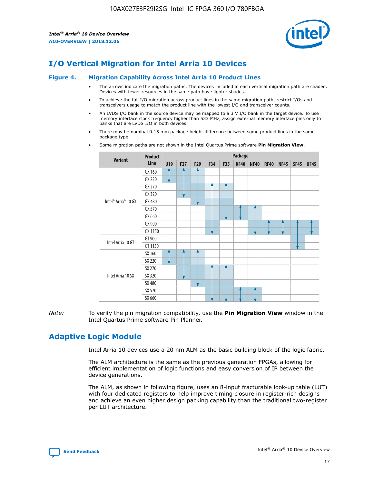

# **I/O Vertical Migration for Intel Arria 10 Devices**

#### **Figure 4. Migration Capability Across Intel Arria 10 Product Lines**

- The arrows indicate the migration paths. The devices included in each vertical migration path are shaded. Devices with fewer resources in the same path have lighter shades.
- To achieve the full I/O migration across product lines in the same migration path, restrict I/Os and transceivers usage to match the product line with the lowest I/O and transceiver counts.
- An LVDS I/O bank in the source device may be mapped to a 3 V I/O bank in the target device. To use memory interface clock frequency higher than 533 MHz, assign external memory interface pins only to banks that are LVDS I/O in both devices.
- There may be nominal 0.15 mm package height difference between some product lines in the same package type.
	- **Variant Product Line Package U19 F27 F29 F34 F35 KF40 NF40 RF40 NF45 SF45 UF45** Intel® Arria® 10 GX GX 160 GX 220 GX 270 GX 320 GX 480 GX 570 GX 660 GX 900 GX 1150 Intel Arria 10 GT GT 900 GT 1150 Intel Arria 10 SX SX 160 SX 220 SX 270 SX 320 SX 480 SX 570 SX 660
- Some migration paths are not shown in the Intel Quartus Prime software **Pin Migration View**.

*Note:* To verify the pin migration compatibility, use the **Pin Migration View** window in the Intel Quartus Prime software Pin Planner.

# **Adaptive Logic Module**

Intel Arria 10 devices use a 20 nm ALM as the basic building block of the logic fabric.

The ALM architecture is the same as the previous generation FPGAs, allowing for efficient implementation of logic functions and easy conversion of IP between the device generations.

The ALM, as shown in following figure, uses an 8-input fracturable look-up table (LUT) with four dedicated registers to help improve timing closure in register-rich designs and achieve an even higher design packing capability than the traditional two-register per LUT architecture.

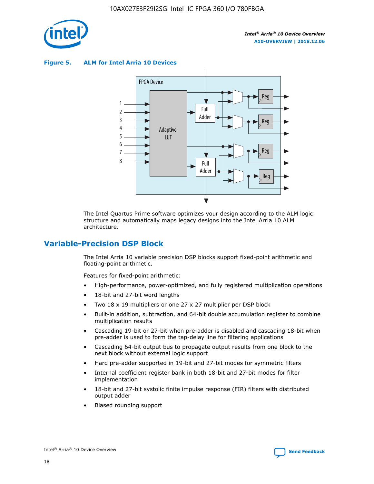

**Figure 5. ALM for Intel Arria 10 Devices**



The Intel Quartus Prime software optimizes your design according to the ALM logic structure and automatically maps legacy designs into the Intel Arria 10 ALM architecture.

# **Variable-Precision DSP Block**

The Intel Arria 10 variable precision DSP blocks support fixed-point arithmetic and floating-point arithmetic.

Features for fixed-point arithmetic:

- High-performance, power-optimized, and fully registered multiplication operations
- 18-bit and 27-bit word lengths
- Two 18 x 19 multipliers or one 27 x 27 multiplier per DSP block
- Built-in addition, subtraction, and 64-bit double accumulation register to combine multiplication results
- Cascading 19-bit or 27-bit when pre-adder is disabled and cascading 18-bit when pre-adder is used to form the tap-delay line for filtering applications
- Cascading 64-bit output bus to propagate output results from one block to the next block without external logic support
- Hard pre-adder supported in 19-bit and 27-bit modes for symmetric filters
- Internal coefficient register bank in both 18-bit and 27-bit modes for filter implementation
- 18-bit and 27-bit systolic finite impulse response (FIR) filters with distributed output adder
- Biased rounding support

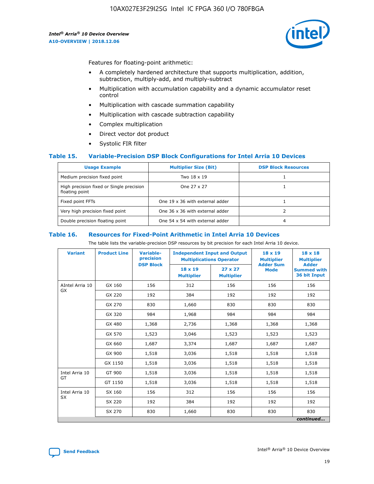

Features for floating-point arithmetic:

- A completely hardened architecture that supports multiplication, addition, subtraction, multiply-add, and multiply-subtract
- Multiplication with accumulation capability and a dynamic accumulator reset control
- Multiplication with cascade summation capability
- Multiplication with cascade subtraction capability
- Complex multiplication
- Direct vector dot product
- Systolic FIR filter

## **Table 15. Variable-Precision DSP Block Configurations for Intel Arria 10 Devices**

| <b>Usage Example</b>                                       | <b>Multiplier Size (Bit)</b>    | <b>DSP Block Resources</b> |
|------------------------------------------------------------|---------------------------------|----------------------------|
| Medium precision fixed point                               | Two 18 x 19                     |                            |
| High precision fixed or Single precision<br>floating point | One 27 x 27                     |                            |
| Fixed point FFTs                                           | One 19 x 36 with external adder |                            |
| Very high precision fixed point                            | One 36 x 36 with external adder |                            |
| Double precision floating point                            | One 54 x 54 with external adder | 4                          |

#### **Table 16. Resources for Fixed-Point Arithmetic in Intel Arria 10 Devices**

The table lists the variable-precision DSP resources by bit precision for each Intel Arria 10 device.

| <b>Variant</b>  | <b>Product Line</b> | Variable-<br>precision<br><b>DSP Block</b> | <b>Independent Input and Output</b><br><b>Multiplications Operator</b> |                                     | 18 x 19<br><b>Multiplier</b><br><b>Adder Sum</b> | $18 \times 18$<br><b>Multiplier</b><br><b>Adder</b> |
|-----------------|---------------------|--------------------------------------------|------------------------------------------------------------------------|-------------------------------------|--------------------------------------------------|-----------------------------------------------------|
|                 |                     |                                            | 18 x 19<br><b>Multiplier</b>                                           | $27 \times 27$<br><b>Multiplier</b> | <b>Mode</b>                                      | <b>Summed with</b><br>36 bit Input                  |
| AIntel Arria 10 | GX 160              | 156                                        | 312                                                                    | 156                                 | 156                                              | 156                                                 |
| GX              | GX 220              | 192                                        | 384                                                                    | 192                                 | 192                                              | 192                                                 |
|                 | GX 270              | 830                                        | 1,660                                                                  | 830                                 | 830                                              | 830                                                 |
|                 | GX 320              | 984                                        | 1,968                                                                  | 984                                 | 984                                              | 984                                                 |
|                 | GX 480              | 1,368                                      | 2,736                                                                  | 1,368                               | 1,368                                            | 1,368                                               |
|                 | GX 570              | 1,523                                      | 3,046                                                                  | 1,523                               | 1,523                                            | 1,523                                               |
|                 | GX 660              | 1,687                                      | 3,374                                                                  | 1,687                               | 1,687                                            | 1,687                                               |
|                 | GX 900              | 1,518                                      | 3,036                                                                  | 1,518                               | 1,518                                            | 1,518                                               |
|                 | GX 1150             | 1,518                                      | 3,036                                                                  | 1,518                               | 1,518                                            | 1,518                                               |
| Intel Arria 10  | GT 900              | 1,518                                      | 3,036                                                                  | 1,518                               | 1,518                                            | 1,518                                               |
| GT              | GT 1150             | 1,518                                      | 3,036                                                                  | 1,518                               | 1,518                                            | 1,518                                               |
| Intel Arria 10  | SX 160              | 156                                        | 312                                                                    | 156                                 | 156                                              | 156                                                 |
| <b>SX</b>       | SX 220<br>192       |                                            | 384                                                                    | 192                                 | 192                                              | 192                                                 |
|                 | SX 270              | 830                                        | 1,660                                                                  | 830                                 | 830                                              | 830                                                 |
|                 |                     |                                            |                                                                        |                                     |                                                  | continued                                           |

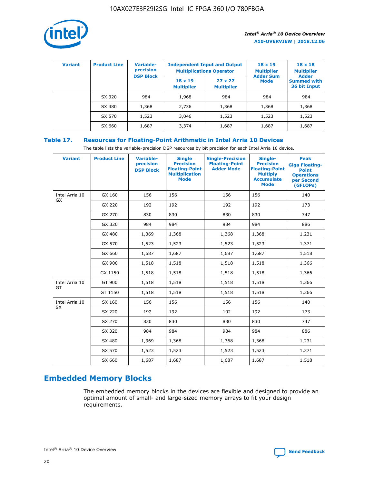

| <b>Variant</b> | <b>Product Line</b> | <b>Variable-</b><br>precision<br><b>DSP Block</b> | <b>Independent Input and Output</b><br><b>Multiplications Operator</b> |                                     | $18 \times 19$<br><b>Multiplier</b><br><b>Adder Sum</b> | $18 \times 18$<br><b>Multiplier</b><br><b>Adder</b> |  |
|----------------|---------------------|---------------------------------------------------|------------------------------------------------------------------------|-------------------------------------|---------------------------------------------------------|-----------------------------------------------------|--|
|                |                     |                                                   | $18 \times 19$<br><b>Multiplier</b>                                    | $27 \times 27$<br><b>Multiplier</b> | <b>Mode</b>                                             | <b>Summed with</b><br>36 bit Input                  |  |
|                | SX 320              | 984                                               | 1,968                                                                  | 984                                 | 984                                                     | 984                                                 |  |
|                | SX 480              | 1,368                                             | 2,736                                                                  | 1,368                               | 1,368                                                   | 1,368                                               |  |
|                | SX 570              | 1,523                                             | 3,046                                                                  | 1,523                               | 1,523                                                   | 1,523                                               |  |
|                | SX 660              | 1,687                                             | 3,374                                                                  | 1,687                               | 1,687                                                   | 1,687                                               |  |

# **Table 17. Resources for Floating-Point Arithmetic in Intel Arria 10 Devices**

The table lists the variable-precision DSP resources by bit precision for each Intel Arria 10 device.

| <b>Variant</b> | <b>Product Line</b> | <b>Variable-</b><br>precision<br><b>DSP Block</b> | <b>Single</b><br><b>Precision</b><br><b>Floating-Point</b><br><b>Multiplication</b><br><b>Mode</b> | <b>Single-Precision</b><br><b>Floating-Point</b><br><b>Adder Mode</b> | Single-<br><b>Precision</b><br><b>Floating-Point</b><br><b>Multiply</b><br><b>Accumulate</b><br><b>Mode</b> | <b>Peak</b><br><b>Giga Floating-</b><br><b>Point</b><br><b>Operations</b><br>per Second<br>(GFLOPs) |
|----------------|---------------------|---------------------------------------------------|----------------------------------------------------------------------------------------------------|-----------------------------------------------------------------------|-------------------------------------------------------------------------------------------------------------|-----------------------------------------------------------------------------------------------------|
| Intel Arria 10 | GX 160              | 156                                               | 156                                                                                                | 156                                                                   | 156                                                                                                         | 140                                                                                                 |
| GX             | GX 220              | 192                                               | 192                                                                                                | 192                                                                   | 192                                                                                                         | 173                                                                                                 |
|                | GX 270              | 830                                               | 830                                                                                                | 830                                                                   | 830                                                                                                         | 747                                                                                                 |
|                | GX 320              | 984                                               | 984                                                                                                | 984                                                                   | 984                                                                                                         | 886                                                                                                 |
|                | GX 480              | 1,369                                             | 1,368                                                                                              | 1,368                                                                 | 1,368                                                                                                       | 1,231                                                                                               |
|                | GX 570              | 1,523                                             | 1,523                                                                                              | 1,523                                                                 | 1,523                                                                                                       | 1,371                                                                                               |
|                | GX 660              | 1,687                                             | 1,687                                                                                              | 1,687                                                                 | 1,687                                                                                                       | 1,518                                                                                               |
|                | GX 900              | 1,518                                             | 1,518                                                                                              | 1,518                                                                 | 1,518                                                                                                       | 1,366                                                                                               |
|                | GX 1150             | 1,518                                             | 1,518                                                                                              | 1,518                                                                 | 1,518                                                                                                       | 1,366                                                                                               |
| Intel Arria 10 | GT 900              | 1,518                                             | 1,518                                                                                              | 1,518                                                                 | 1,518                                                                                                       | 1,366                                                                                               |
| GT             | GT 1150             | 1,518                                             | 1,518                                                                                              | 1,518                                                                 | 1,518                                                                                                       | 1,366                                                                                               |
| Intel Arria 10 | SX 160              | 156                                               | 156                                                                                                | 156                                                                   | 156                                                                                                         | 140                                                                                                 |
| SX             | SX 220              | 192                                               | 192                                                                                                | 192                                                                   | 192                                                                                                         | 173                                                                                                 |
|                | SX 270              | 830                                               | 830                                                                                                | 830                                                                   | 830                                                                                                         | 747                                                                                                 |
|                | SX 320              | 984                                               | 984                                                                                                | 984                                                                   | 984                                                                                                         | 886                                                                                                 |
|                | SX 480              | 1,369                                             | 1,368                                                                                              | 1,368                                                                 | 1,368                                                                                                       | 1,231                                                                                               |
|                | SX 570              | 1,523                                             | 1,523                                                                                              | 1,523                                                                 | 1,523                                                                                                       | 1,371                                                                                               |
|                | SX 660              | 1,687                                             | 1,687                                                                                              | 1,687                                                                 | 1,687                                                                                                       | 1,518                                                                                               |

# **Embedded Memory Blocks**

The embedded memory blocks in the devices are flexible and designed to provide an optimal amount of small- and large-sized memory arrays to fit your design requirements.

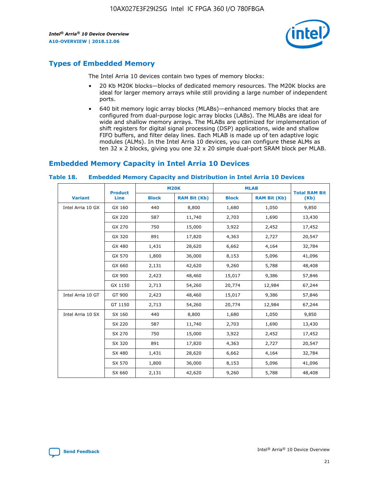

# **Types of Embedded Memory**

The Intel Arria 10 devices contain two types of memory blocks:

- 20 Kb M20K blocks—blocks of dedicated memory resources. The M20K blocks are ideal for larger memory arrays while still providing a large number of independent ports.
- 640 bit memory logic array blocks (MLABs)—enhanced memory blocks that are configured from dual-purpose logic array blocks (LABs). The MLABs are ideal for wide and shallow memory arrays. The MLABs are optimized for implementation of shift registers for digital signal processing (DSP) applications, wide and shallow FIFO buffers, and filter delay lines. Each MLAB is made up of ten adaptive logic modules (ALMs). In the Intel Arria 10 devices, you can configure these ALMs as ten 32 x 2 blocks, giving you one 32 x 20 simple dual-port SRAM block per MLAB.

# **Embedded Memory Capacity in Intel Arria 10 Devices**

|                   | <b>Product</b> |              | <b>M20K</b>         | <b>MLAB</b>  |                     | <b>Total RAM Bit</b> |
|-------------------|----------------|--------------|---------------------|--------------|---------------------|----------------------|
| <b>Variant</b>    | <b>Line</b>    | <b>Block</b> | <b>RAM Bit (Kb)</b> | <b>Block</b> | <b>RAM Bit (Kb)</b> | (Kb)                 |
| Intel Arria 10 GX | GX 160         | 440          | 8,800               | 1,680        | 1,050               | 9,850                |
|                   | GX 220         | 587          | 11,740              | 2,703        | 1,690               | 13,430               |
|                   | GX 270         | 750          | 15,000              | 3,922        | 2,452               | 17,452               |
|                   | GX 320         | 891          | 17,820              | 4,363        | 2,727               | 20,547               |
|                   | GX 480         | 1,431        | 28,620              | 6,662        | 4,164               | 32,784               |
|                   | GX 570         | 1,800        | 36,000              | 8,153        | 5,096               | 41,096               |
|                   | GX 660         | 2,131        | 42,620              | 9,260        | 5,788               | 48,408               |
|                   | GX 900         | 2,423        | 48,460              | 15,017       | 9,386               | 57,846               |
|                   | GX 1150        | 2,713        | 54,260              | 20,774       | 12,984              | 67,244               |
| Intel Arria 10 GT | GT 900         | 2,423        | 48,460              | 15,017       | 9,386               | 57,846               |
|                   | GT 1150        | 2,713        | 54,260              | 20,774       | 12,984              | 67,244               |
| Intel Arria 10 SX | SX 160         | 440          | 8,800               | 1,680        | 1,050               | 9,850                |
|                   | SX 220         | 587          | 11,740              | 2,703        | 1,690               | 13,430               |
|                   | SX 270         | 750          | 15,000              | 3,922        | 2,452               | 17,452               |
|                   | SX 320         | 891          | 17,820              | 4,363        | 2,727               | 20,547               |
|                   | SX 480         | 1,431        | 28,620              | 6,662        | 4,164               | 32,784               |
|                   | SX 570         | 1,800        | 36,000              | 8,153        | 5,096               | 41,096               |
|                   | SX 660         | 2,131        | 42,620              | 9,260        | 5,788               | 48,408               |

#### **Table 18. Embedded Memory Capacity and Distribution in Intel Arria 10 Devices**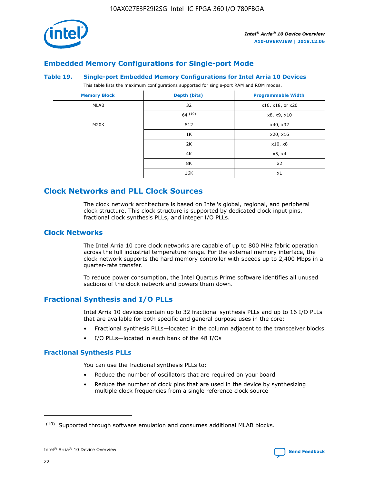

# **Embedded Memory Configurations for Single-port Mode**

#### **Table 19. Single-port Embedded Memory Configurations for Intel Arria 10 Devices**

This table lists the maximum configurations supported for single-port RAM and ROM modes.

| <b>Memory Block</b> | Depth (bits) | <b>Programmable Width</b> |
|---------------------|--------------|---------------------------|
| MLAB                | 32           | x16, x18, or x20          |
|                     | 64(10)       | x8, x9, x10               |
| M20K                | 512          | x40, x32                  |
|                     | 1K           | x20, x16                  |
|                     | 2K           | x10, x8                   |
|                     | 4K           | x5, x4                    |
|                     | 8K           | x2                        |
|                     | 16K          | x1                        |

# **Clock Networks and PLL Clock Sources**

The clock network architecture is based on Intel's global, regional, and peripheral clock structure. This clock structure is supported by dedicated clock input pins, fractional clock synthesis PLLs, and integer I/O PLLs.

# **Clock Networks**

The Intel Arria 10 core clock networks are capable of up to 800 MHz fabric operation across the full industrial temperature range. For the external memory interface, the clock network supports the hard memory controller with speeds up to 2,400 Mbps in a quarter-rate transfer.

To reduce power consumption, the Intel Quartus Prime software identifies all unused sections of the clock network and powers them down.

# **Fractional Synthesis and I/O PLLs**

Intel Arria 10 devices contain up to 32 fractional synthesis PLLs and up to 16 I/O PLLs that are available for both specific and general purpose uses in the core:

- Fractional synthesis PLLs—located in the column adjacent to the transceiver blocks
- I/O PLLs—located in each bank of the 48 I/Os

## **Fractional Synthesis PLLs**

You can use the fractional synthesis PLLs to:

- Reduce the number of oscillators that are required on your board
- Reduce the number of clock pins that are used in the device by synthesizing multiple clock frequencies from a single reference clock source

<sup>(10)</sup> Supported through software emulation and consumes additional MLAB blocks.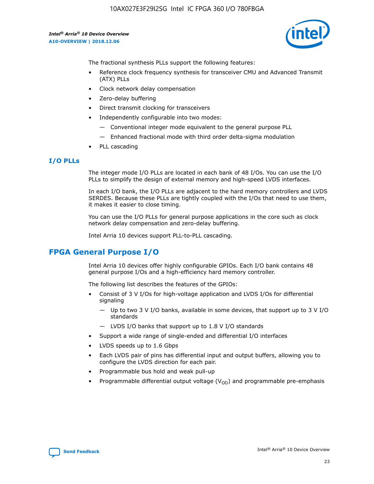10AX027E3F29I2SG Intel IC FPGA 360 I/O 780FBGA

*Intel® Arria® 10 Device Overview* **A10-OVERVIEW | 2018.12.06**



The fractional synthesis PLLs support the following features:

- Reference clock frequency synthesis for transceiver CMU and Advanced Transmit (ATX) PLLs
- Clock network delay compensation
- Zero-delay buffering
- Direct transmit clocking for transceivers
- Independently configurable into two modes:
	- Conventional integer mode equivalent to the general purpose PLL
	- Enhanced fractional mode with third order delta-sigma modulation
- PLL cascading

## **I/O PLLs**

The integer mode I/O PLLs are located in each bank of 48 I/Os. You can use the I/O PLLs to simplify the design of external memory and high-speed LVDS interfaces.

In each I/O bank, the I/O PLLs are adjacent to the hard memory controllers and LVDS SERDES. Because these PLLs are tightly coupled with the I/Os that need to use them, it makes it easier to close timing.

You can use the I/O PLLs for general purpose applications in the core such as clock network delay compensation and zero-delay buffering.

Intel Arria 10 devices support PLL-to-PLL cascading.

# **FPGA General Purpose I/O**

Intel Arria 10 devices offer highly configurable GPIOs. Each I/O bank contains 48 general purpose I/Os and a high-efficiency hard memory controller.

The following list describes the features of the GPIOs:

- Consist of 3 V I/Os for high-voltage application and LVDS I/Os for differential signaling
	- Up to two 3 V I/O banks, available in some devices, that support up to 3 V I/O standards
	- LVDS I/O banks that support up to 1.8 V I/O standards
- Support a wide range of single-ended and differential I/O interfaces
- LVDS speeds up to 1.6 Gbps
- Each LVDS pair of pins has differential input and output buffers, allowing you to configure the LVDS direction for each pair.
- Programmable bus hold and weak pull-up
- Programmable differential output voltage  $(V_{OD})$  and programmable pre-emphasis

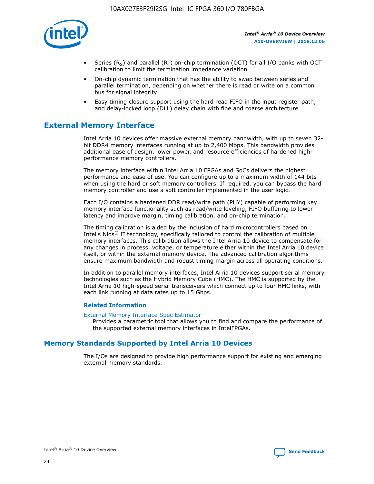

- Series (R<sub>S</sub>) and parallel (R<sub>T</sub>) on-chip termination (OCT) for all I/O banks with OCT calibration to limit the termination impedance variation
- On-chip dynamic termination that has the ability to swap between series and parallel termination, depending on whether there is read or write on a common bus for signal integrity
- Easy timing closure support using the hard read FIFO in the input register path, and delay-locked loop (DLL) delay chain with fine and coarse architecture

# **External Memory Interface**

Intel Arria 10 devices offer massive external memory bandwidth, with up to seven 32 bit DDR4 memory interfaces running at up to 2,400 Mbps. This bandwidth provides additional ease of design, lower power, and resource efficiencies of hardened highperformance memory controllers.

The memory interface within Intel Arria 10 FPGAs and SoCs delivers the highest performance and ease of use. You can configure up to a maximum width of 144 bits when using the hard or soft memory controllers. If required, you can bypass the hard memory controller and use a soft controller implemented in the user logic.

Each I/O contains a hardened DDR read/write path (PHY) capable of performing key memory interface functionality such as read/write leveling, FIFO buffering to lower latency and improve margin, timing calibration, and on-chip termination.

The timing calibration is aided by the inclusion of hard microcontrollers based on Intel's Nios® II technology, specifically tailored to control the calibration of multiple memory interfaces. This calibration allows the Intel Arria 10 device to compensate for any changes in process, voltage, or temperature either within the Intel Arria 10 device itself, or within the external memory device. The advanced calibration algorithms ensure maximum bandwidth and robust timing margin across all operating conditions.

In addition to parallel memory interfaces, Intel Arria 10 devices support serial memory technologies such as the Hybrid Memory Cube (HMC). The HMC is supported by the Intel Arria 10 high-speed serial transceivers which connect up to four HMC links, with each link running at data rates up to 15 Gbps.

## **Related Information**

#### [External Memory Interface Spec Estimator](http://www.altera.com/technology/memory/estimator/mem-emif-index.html)

Provides a parametric tool that allows you to find and compare the performance of the supported external memory interfaces in IntelFPGAs.

# **Memory Standards Supported by Intel Arria 10 Devices**

The I/Os are designed to provide high performance support for existing and emerging external memory standards.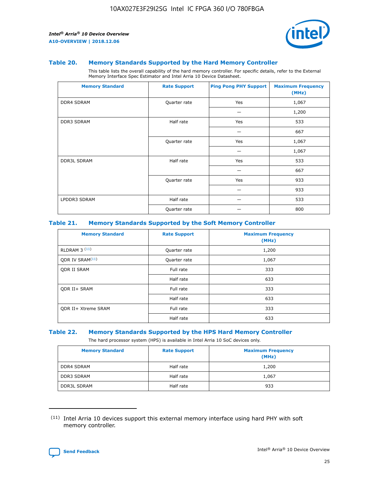

#### **Table 20. Memory Standards Supported by the Hard Memory Controller**

This table lists the overall capability of the hard memory controller. For specific details, refer to the External Memory Interface Spec Estimator and Intel Arria 10 Device Datasheet.

| <b>Memory Standard</b> | <b>Rate Support</b> | <b>Ping Pong PHY Support</b> | <b>Maximum Frequency</b><br>(MHz) |
|------------------------|---------------------|------------------------------|-----------------------------------|
| <b>DDR4 SDRAM</b>      | Quarter rate        | Yes                          | 1,067                             |
|                        |                     |                              | 1,200                             |
| DDR3 SDRAM             | Half rate           | Yes                          | 533                               |
|                        |                     |                              | 667                               |
|                        | Quarter rate        | Yes                          | 1,067                             |
|                        |                     |                              | 1,067                             |
| <b>DDR3L SDRAM</b>     | Half rate           | Yes                          | 533                               |
|                        |                     |                              | 667                               |
|                        | Quarter rate        | Yes                          | 933                               |
|                        |                     |                              | 933                               |
| LPDDR3 SDRAM           | Half rate           |                              | 533                               |
|                        | Quarter rate        |                              | 800                               |

#### **Table 21. Memory Standards Supported by the Soft Memory Controller**

| <b>Memory Standard</b>      | <b>Rate Support</b> | <b>Maximum Frequency</b><br>(MHz) |
|-----------------------------|---------------------|-----------------------------------|
| <b>RLDRAM 3 (11)</b>        | Quarter rate        | 1,200                             |
| ODR IV SRAM <sup>(11)</sup> | Quarter rate        | 1,067                             |
| <b>ODR II SRAM</b>          | Full rate           | 333                               |
|                             | Half rate           | 633                               |
| <b>ODR II+ SRAM</b>         | Full rate           | 333                               |
|                             | Half rate           | 633                               |
| <b>ODR II+ Xtreme SRAM</b>  | Full rate           | 333                               |
|                             | Half rate           | 633                               |

#### **Table 22. Memory Standards Supported by the HPS Hard Memory Controller**

The hard processor system (HPS) is available in Intel Arria 10 SoC devices only.

| <b>Memory Standard</b> | <b>Rate Support</b> | <b>Maximum Frequency</b><br>(MHz) |
|------------------------|---------------------|-----------------------------------|
| <b>DDR4 SDRAM</b>      | Half rate           | 1,200                             |
| <b>DDR3 SDRAM</b>      | Half rate           | 1,067                             |
| <b>DDR3L SDRAM</b>     | Half rate           | 933                               |

<sup>(11)</sup> Intel Arria 10 devices support this external memory interface using hard PHY with soft memory controller.

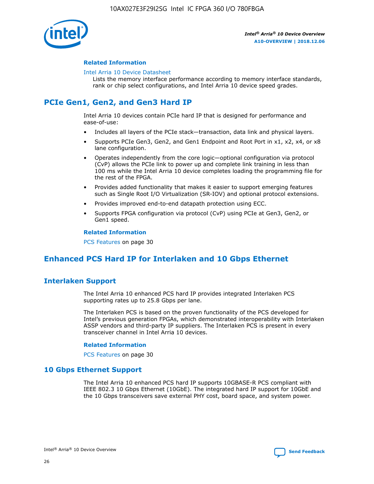

## **Related Information**

#### [Intel Arria 10 Device Datasheet](https://www.intel.com/content/www/us/en/programmable/documentation/mcn1413182292568.html#mcn1413182153340)

Lists the memory interface performance according to memory interface standards, rank or chip select configurations, and Intel Arria 10 device speed grades.

# **PCIe Gen1, Gen2, and Gen3 Hard IP**

Intel Arria 10 devices contain PCIe hard IP that is designed for performance and ease-of-use:

- Includes all layers of the PCIe stack—transaction, data link and physical layers.
- Supports PCIe Gen3, Gen2, and Gen1 Endpoint and Root Port in x1, x2, x4, or x8 lane configuration.
- Operates independently from the core logic—optional configuration via protocol (CvP) allows the PCIe link to power up and complete link training in less than 100 ms while the Intel Arria 10 device completes loading the programming file for the rest of the FPGA.
- Provides added functionality that makes it easier to support emerging features such as Single Root I/O Virtualization (SR-IOV) and optional protocol extensions.
- Provides improved end-to-end datapath protection using ECC.
- Supports FPGA configuration via protocol (CvP) using PCIe at Gen3, Gen2, or Gen1 speed.

#### **Related Information**

PCS Features on page 30

# **Enhanced PCS Hard IP for Interlaken and 10 Gbps Ethernet**

# **Interlaken Support**

The Intel Arria 10 enhanced PCS hard IP provides integrated Interlaken PCS supporting rates up to 25.8 Gbps per lane.

The Interlaken PCS is based on the proven functionality of the PCS developed for Intel's previous generation FPGAs, which demonstrated interoperability with Interlaken ASSP vendors and third-party IP suppliers. The Interlaken PCS is present in every transceiver channel in Intel Arria 10 devices.

## **Related Information**

PCS Features on page 30

# **10 Gbps Ethernet Support**

The Intel Arria 10 enhanced PCS hard IP supports 10GBASE-R PCS compliant with IEEE 802.3 10 Gbps Ethernet (10GbE). The integrated hard IP support for 10GbE and the 10 Gbps transceivers save external PHY cost, board space, and system power.

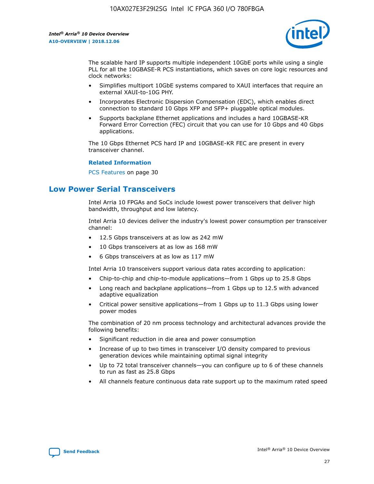

The scalable hard IP supports multiple independent 10GbE ports while using a single PLL for all the 10GBASE-R PCS instantiations, which saves on core logic resources and clock networks:

- Simplifies multiport 10GbE systems compared to XAUI interfaces that require an external XAUI-to-10G PHY.
- Incorporates Electronic Dispersion Compensation (EDC), which enables direct connection to standard 10 Gbps XFP and SFP+ pluggable optical modules.
- Supports backplane Ethernet applications and includes a hard 10GBASE-KR Forward Error Correction (FEC) circuit that you can use for 10 Gbps and 40 Gbps applications.

The 10 Gbps Ethernet PCS hard IP and 10GBASE-KR FEC are present in every transceiver channel.

#### **Related Information**

PCS Features on page 30

# **Low Power Serial Transceivers**

Intel Arria 10 FPGAs and SoCs include lowest power transceivers that deliver high bandwidth, throughput and low latency.

Intel Arria 10 devices deliver the industry's lowest power consumption per transceiver channel:

- 12.5 Gbps transceivers at as low as 242 mW
- 10 Gbps transceivers at as low as 168 mW
- 6 Gbps transceivers at as low as 117 mW

Intel Arria 10 transceivers support various data rates according to application:

- Chip-to-chip and chip-to-module applications—from 1 Gbps up to 25.8 Gbps
- Long reach and backplane applications—from 1 Gbps up to 12.5 with advanced adaptive equalization
- Critical power sensitive applications—from 1 Gbps up to 11.3 Gbps using lower power modes

The combination of 20 nm process technology and architectural advances provide the following benefits:

- Significant reduction in die area and power consumption
- Increase of up to two times in transceiver I/O density compared to previous generation devices while maintaining optimal signal integrity
- Up to 72 total transceiver channels—you can configure up to 6 of these channels to run as fast as 25.8 Gbps
- All channels feature continuous data rate support up to the maximum rated speed

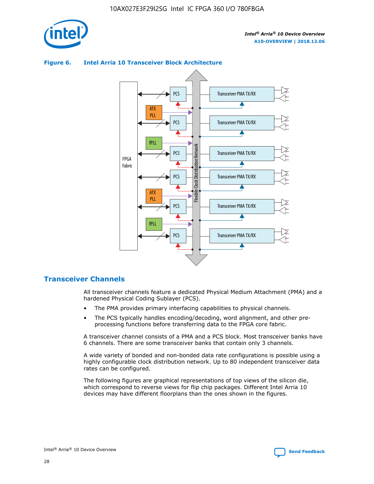

## Transceiver PMA TX/RX PCS ATX PLL Transceiver PMA TX/RX PCS fPLL Network Flexible Clock Distribution Network PCS Transceiver PMA TX/RX FPGA **Clock Distribution** Fabric PCS Transceiver PMA TX/RX ATX Flexible PLL PCS Transceiver PMA TX/RX ▲ fPLL Transceiver PMA TX/RX PCS 4

## **Figure 6. Intel Arria 10 Transceiver Block Architecture**

# **Transceiver Channels**

All transceiver channels feature a dedicated Physical Medium Attachment (PMA) and a hardened Physical Coding Sublayer (PCS).

- The PMA provides primary interfacing capabilities to physical channels.
- The PCS typically handles encoding/decoding, word alignment, and other preprocessing functions before transferring data to the FPGA core fabric.

A transceiver channel consists of a PMA and a PCS block. Most transceiver banks have 6 channels. There are some transceiver banks that contain only 3 channels.

A wide variety of bonded and non-bonded data rate configurations is possible using a highly configurable clock distribution network. Up to 80 independent transceiver data rates can be configured.

The following figures are graphical representations of top views of the silicon die, which correspond to reverse views for flip chip packages. Different Intel Arria 10 devices may have different floorplans than the ones shown in the figures.

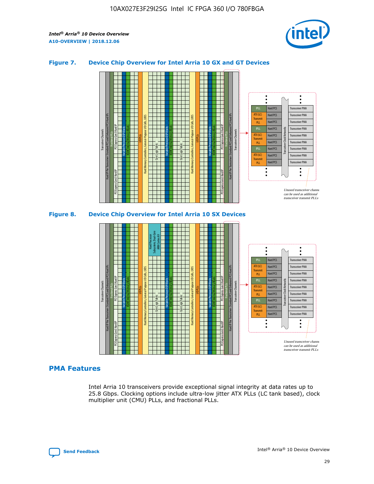

## **Figure 7. Device Chip Overview for Intel Arria 10 GX and GT Devices**





# **PMA Features**

Intel Arria 10 transceivers provide exceptional signal integrity at data rates up to 25.8 Gbps. Clocking options include ultra-low jitter ATX PLLs (LC tank based), clock multiplier unit (CMU) PLLs, and fractional PLLs.

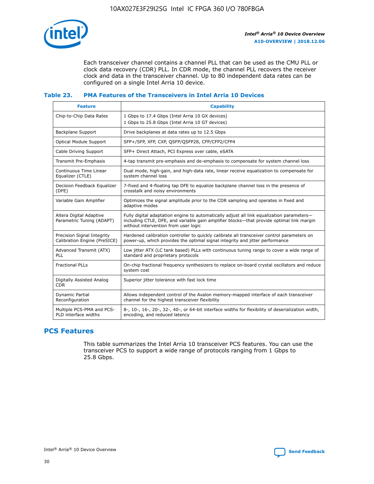

Each transceiver channel contains a channel PLL that can be used as the CMU PLL or clock data recovery (CDR) PLL. In CDR mode, the channel PLL recovers the receiver clock and data in the transceiver channel. Up to 80 independent data rates can be configured on a single Intel Arria 10 device.

## **Table 23. PMA Features of the Transceivers in Intel Arria 10 Devices**

| <b>Feature</b>                                             | <b>Capability</b>                                                                                                                                                                                                             |
|------------------------------------------------------------|-------------------------------------------------------------------------------------------------------------------------------------------------------------------------------------------------------------------------------|
| Chip-to-Chip Data Rates                                    | 1 Gbps to 17.4 Gbps (Intel Arria 10 GX devices)<br>1 Gbps to 25.8 Gbps (Intel Arria 10 GT devices)                                                                                                                            |
| <b>Backplane Support</b>                                   | Drive backplanes at data rates up to 12.5 Gbps                                                                                                                                                                                |
| <b>Optical Module Support</b>                              | SFP+/SFP, XFP, CXP, QSFP/QSFP28, CFP/CFP2/CFP4                                                                                                                                                                                |
| Cable Driving Support                                      | SFP+ Direct Attach, PCI Express over cable, eSATA                                                                                                                                                                             |
| Transmit Pre-Emphasis                                      | 4-tap transmit pre-emphasis and de-emphasis to compensate for system channel loss                                                                                                                                             |
| Continuous Time Linear<br>Equalizer (CTLE)                 | Dual mode, high-gain, and high-data rate, linear receive equalization to compensate for<br>system channel loss                                                                                                                |
| Decision Feedback Equalizer<br>(DFE)                       | 7-fixed and 4-floating tap DFE to equalize backplane channel loss in the presence of<br>crosstalk and noisy environments                                                                                                      |
| Variable Gain Amplifier                                    | Optimizes the signal amplitude prior to the CDR sampling and operates in fixed and<br>adaptive modes                                                                                                                          |
| Altera Digital Adaptive<br>Parametric Tuning (ADAPT)       | Fully digital adaptation engine to automatically adjust all link equalization parameters-<br>including CTLE, DFE, and variable gain amplifier blocks—that provide optimal link margin<br>without intervention from user logic |
| Precision Signal Integrity<br>Calibration Engine (PreSICE) | Hardened calibration controller to quickly calibrate all transceiver control parameters on<br>power-up, which provides the optimal signal integrity and jitter performance                                                    |
| Advanced Transmit (ATX)<br>PLL                             | Low jitter ATX (LC tank based) PLLs with continuous tuning range to cover a wide range of<br>standard and proprietary protocols                                                                                               |
| <b>Fractional PLLs</b>                                     | On-chip fractional frequency synthesizers to replace on-board crystal oscillators and reduce<br>system cost                                                                                                                   |
| Digitally Assisted Analog<br><b>CDR</b>                    | Superior jitter tolerance with fast lock time                                                                                                                                                                                 |
| Dynamic Partial<br>Reconfiguration                         | Allows independent control of the Avalon memory-mapped interface of each transceiver<br>channel for the highest transceiver flexibility                                                                                       |
| Multiple PCS-PMA and PCS-<br>PLD interface widths          | 8-, 10-, 16-, 20-, 32-, 40-, or 64-bit interface widths for flexibility of deserialization width,<br>encoding, and reduced latency                                                                                            |

# **PCS Features**

This table summarizes the Intel Arria 10 transceiver PCS features. You can use the transceiver PCS to support a wide range of protocols ranging from 1 Gbps to 25.8 Gbps.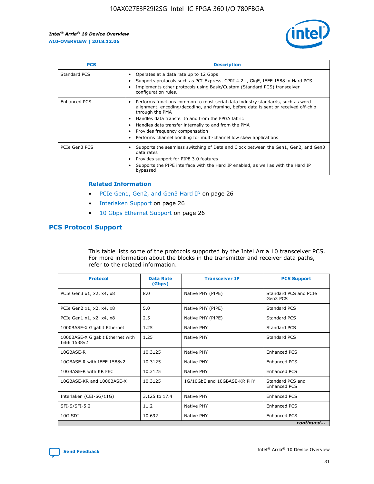

| <b>PCS</b>          | <b>Description</b>                                                                                                                                                                                                                                                                                                                                                                                             |
|---------------------|----------------------------------------------------------------------------------------------------------------------------------------------------------------------------------------------------------------------------------------------------------------------------------------------------------------------------------------------------------------------------------------------------------------|
| Standard PCS        | Operates at a data rate up to 12 Gbps<br>Supports protocols such as PCI-Express, CPRI 4.2+, GigE, IEEE 1588 in Hard PCS<br>Implements other protocols using Basic/Custom (Standard PCS) transceiver<br>configuration rules.                                                                                                                                                                                    |
| <b>Enhanced PCS</b> | Performs functions common to most serial data industry standards, such as word<br>alignment, encoding/decoding, and framing, before data is sent or received off-chip<br>through the PMA<br>• Handles data transfer to and from the FPGA fabric<br>Handles data transfer internally to and from the PMA<br>Provides frequency compensation<br>Performs channel bonding for multi-channel low skew applications |
| PCIe Gen3 PCS       | Supports the seamless switching of Data and Clock between the Gen1, Gen2, and Gen3<br>data rates<br>Provides support for PIPE 3.0 features<br>Supports the PIPE interface with the Hard IP enabled, as well as with the Hard IP<br>bypassed                                                                                                                                                                    |

#### **Related Information**

- PCIe Gen1, Gen2, and Gen3 Hard IP on page 26
- Interlaken Support on page 26
- 10 Gbps Ethernet Support on page 26

# **PCS Protocol Support**

This table lists some of the protocols supported by the Intel Arria 10 transceiver PCS. For more information about the blocks in the transmitter and receiver data paths, refer to the related information.

| <b>Protocol</b>                                 | <b>Data Rate</b><br>(Gbps) | <b>Transceiver IP</b>       | <b>PCS Support</b>                      |
|-------------------------------------------------|----------------------------|-----------------------------|-----------------------------------------|
| PCIe Gen3 x1, x2, x4, x8                        | 8.0                        | Native PHY (PIPE)           | Standard PCS and PCIe<br>Gen3 PCS       |
| PCIe Gen2 x1, x2, x4, x8                        | 5.0                        | Native PHY (PIPE)           | <b>Standard PCS</b>                     |
| PCIe Gen1 x1, x2, x4, x8                        | 2.5                        | Native PHY (PIPE)           | Standard PCS                            |
| 1000BASE-X Gigabit Ethernet                     | 1.25                       | Native PHY                  | <b>Standard PCS</b>                     |
| 1000BASE-X Gigabit Ethernet with<br>IEEE 1588v2 | 1.25                       | Native PHY                  | Standard PCS                            |
| 10GBASE-R                                       | 10.3125                    | Native PHY                  | <b>Enhanced PCS</b>                     |
| 10GBASE-R with IEEE 1588v2                      | 10.3125                    | Native PHY                  | <b>Enhanced PCS</b>                     |
| 10GBASE-R with KR FEC                           | 10.3125                    | Native PHY                  | <b>Enhanced PCS</b>                     |
| 10GBASE-KR and 1000BASE-X                       | 10.3125                    | 1G/10GbE and 10GBASE-KR PHY | Standard PCS and<br><b>Enhanced PCS</b> |
| Interlaken (CEI-6G/11G)                         | 3.125 to 17.4              | Native PHY                  | <b>Enhanced PCS</b>                     |
| SFI-S/SFI-5.2                                   | 11.2                       | Native PHY                  | <b>Enhanced PCS</b>                     |
| $10G$ SDI                                       | 10.692                     | Native PHY                  | <b>Enhanced PCS</b>                     |
|                                                 |                            |                             | continued                               |

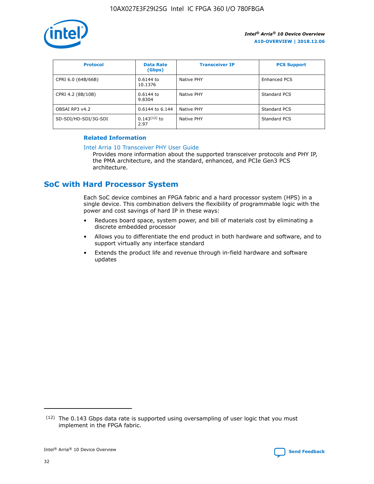

| <b>Protocol</b>      | <b>Data Rate</b><br>(Gbps) | <b>Transceiver IP</b> | <b>PCS Support</b> |
|----------------------|----------------------------|-----------------------|--------------------|
| CPRI 6.0 (64B/66B)   | 0.6144 to<br>10.1376       | Native PHY            | Enhanced PCS       |
| CPRI 4.2 (8B/10B)    | 0.6144 to<br>9.8304        | Native PHY            | Standard PCS       |
| OBSAI RP3 v4.2       | 0.6144 to 6.144            | Native PHY            | Standard PCS       |
| SD-SDI/HD-SDI/3G-SDI | $0.143(12)$ to<br>2.97     | Native PHY            | Standard PCS       |

## **Related Information**

#### [Intel Arria 10 Transceiver PHY User Guide](https://www.intel.com/content/www/us/en/programmable/documentation/nik1398707230472.html#nik1398707091164)

Provides more information about the supported transceiver protocols and PHY IP, the PMA architecture, and the standard, enhanced, and PCIe Gen3 PCS architecture.

# **SoC with Hard Processor System**

Each SoC device combines an FPGA fabric and a hard processor system (HPS) in a single device. This combination delivers the flexibility of programmable logic with the power and cost savings of hard IP in these ways:

- Reduces board space, system power, and bill of materials cost by eliminating a discrete embedded processor
- Allows you to differentiate the end product in both hardware and software, and to support virtually any interface standard
- Extends the product life and revenue through in-field hardware and software updates

 $(12)$  The 0.143 Gbps data rate is supported using oversampling of user logic that you must implement in the FPGA fabric.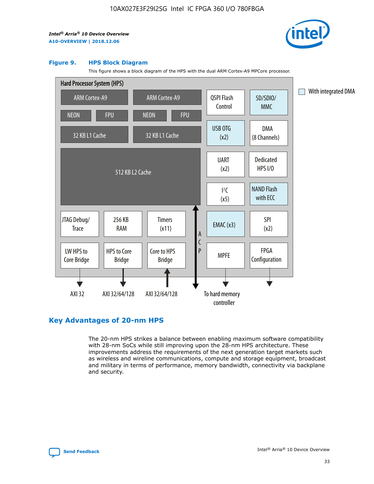

#### **Figure 9. HPS Block Diagram**

This figure shows a block diagram of the HPS with the dual ARM Cortex-A9 MPCore processor.



# **Key Advantages of 20-nm HPS**

The 20-nm HPS strikes a balance between enabling maximum software compatibility with 28-nm SoCs while still improving upon the 28-nm HPS architecture. These improvements address the requirements of the next generation target markets such as wireless and wireline communications, compute and storage equipment, broadcast and military in terms of performance, memory bandwidth, connectivity via backplane and security.

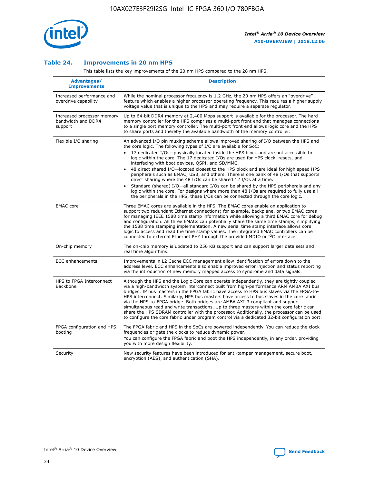

## **Table 24. Improvements in 20 nm HPS**

This table lists the key improvements of the 20 nm HPS compared to the 28 nm HPS.

| Advantages/<br><b>Improvements</b>                          | <b>Description</b>                                                                                                                                                                                                                                                                                                                                                                                                                                                                                                                                                                                                                                                                                                                                                                                                                                                                                                                                |
|-------------------------------------------------------------|---------------------------------------------------------------------------------------------------------------------------------------------------------------------------------------------------------------------------------------------------------------------------------------------------------------------------------------------------------------------------------------------------------------------------------------------------------------------------------------------------------------------------------------------------------------------------------------------------------------------------------------------------------------------------------------------------------------------------------------------------------------------------------------------------------------------------------------------------------------------------------------------------------------------------------------------------|
| Increased performance and<br>overdrive capability           | While the nominal processor frequency is 1.2 GHz, the 20 nm HPS offers an "overdrive"<br>feature which enables a higher processor operating frequency. This requires a higher supply<br>voltage value that is unique to the HPS and may require a separate regulator.                                                                                                                                                                                                                                                                                                                                                                                                                                                                                                                                                                                                                                                                             |
| Increased processor memory<br>bandwidth and DDR4<br>support | Up to 64-bit DDR4 memory at 2,400 Mbps support is available for the processor. The hard<br>memory controller for the HPS comprises a multi-port front end that manages connections<br>to a single port memory controller. The multi-port front end allows logic core and the HPS<br>to share ports and thereby the available bandwidth of the memory controller.                                                                                                                                                                                                                                                                                                                                                                                                                                                                                                                                                                                  |
| Flexible I/O sharing                                        | An advanced I/O pin muxing scheme allows improved sharing of I/O between the HPS and<br>the core logic. The following types of I/O are available for SoC:<br>$\bullet$<br>17 dedicated I/Os-physically located inside the HPS block and are not accessible to<br>logic within the core. The 17 dedicated I/Os are used for HPS clock, resets, and<br>interfacing with boot devices, QSPI, and SD/MMC.<br>48 direct shared I/O-located closest to the HPS block and are ideal for high speed HPS<br>$\bullet$<br>peripherals such as EMAC, USB, and others. There is one bank of 48 I/Os that supports<br>direct sharing where the 48 I/Os can be shared 12 I/Os at a time.<br>Standard (shared) I/O-all standard I/Os can be shared by the HPS peripherals and any<br>logic within the core. For designs where more than 48 I/Os are required to fully use all<br>the peripherals in the HPS, these I/Os can be connected through the core logic. |
| <b>EMAC</b> core                                            | Three EMAC cores are available in the HPS. The EMAC cores enable an application to<br>support two redundant Ethernet connections; for example, backplane, or two EMAC cores<br>for managing IEEE 1588 time stamp information while allowing a third EMAC core for debug<br>and configuration. All three EMACs can potentially share the same time stamps, simplifying<br>the 1588 time stamping implementation. A new serial time stamp interface allows core<br>logic to access and read the time stamp values. The integrated EMAC controllers can be<br>connected to external Ethernet PHY through the provided MDIO or I <sup>2</sup> C interface.                                                                                                                                                                                                                                                                                            |
| On-chip memory                                              | The on-chip memory is updated to 256 KB support and can support larger data sets and<br>real time algorithms.                                                                                                                                                                                                                                                                                                                                                                                                                                                                                                                                                                                                                                                                                                                                                                                                                                     |
| <b>ECC</b> enhancements                                     | Improvements in L2 Cache ECC management allow identification of errors down to the<br>address level. ECC enhancements also enable improved error injection and status reporting<br>via the introduction of new memory mapped access to syndrome and data signals.                                                                                                                                                                                                                                                                                                                                                                                                                                                                                                                                                                                                                                                                                 |
| HPS to FPGA Interconnect<br>Backbone                        | Although the HPS and the Logic Core can operate independently, they are tightly coupled<br>via a high-bandwidth system interconnect built from high-performance ARM AMBA AXI bus<br>bridges. IP bus masters in the FPGA fabric have access to HPS bus slaves via the FPGA-to-<br>HPS interconnect. Similarly, HPS bus masters have access to bus slaves in the core fabric<br>via the HPS-to-FPGA bridge. Both bridges are AMBA AXI-3 compliant and support<br>simultaneous read and write transactions. Up to three masters within the core fabric can<br>share the HPS SDRAM controller with the processor. Additionally, the processor can be used<br>to configure the core fabric under program control via a dedicated 32-bit configuration port.                                                                                                                                                                                            |
| FPGA configuration and HPS<br>booting                       | The FPGA fabric and HPS in the SoCs are powered independently. You can reduce the clock<br>frequencies or gate the clocks to reduce dynamic power.<br>You can configure the FPGA fabric and boot the HPS independently, in any order, providing<br>you with more design flexibility.                                                                                                                                                                                                                                                                                                                                                                                                                                                                                                                                                                                                                                                              |
| Security                                                    | New security features have been introduced for anti-tamper management, secure boot,<br>encryption (AES), and authentication (SHA).                                                                                                                                                                                                                                                                                                                                                                                                                                                                                                                                                                                                                                                                                                                                                                                                                |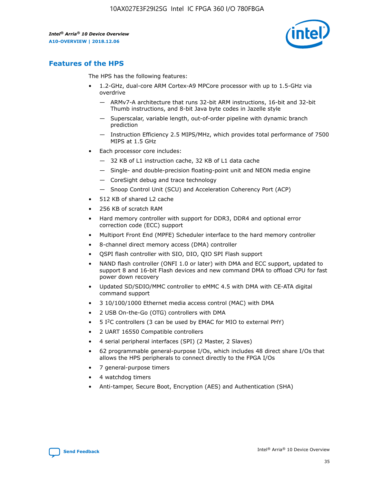

# **Features of the HPS**

The HPS has the following features:

- 1.2-GHz, dual-core ARM Cortex-A9 MPCore processor with up to 1.5-GHz via overdrive
	- ARMv7-A architecture that runs 32-bit ARM instructions, 16-bit and 32-bit Thumb instructions, and 8-bit Java byte codes in Jazelle style
	- Superscalar, variable length, out-of-order pipeline with dynamic branch prediction
	- Instruction Efficiency 2.5 MIPS/MHz, which provides total performance of 7500 MIPS at 1.5 GHz
- Each processor core includes:
	- 32 KB of L1 instruction cache, 32 KB of L1 data cache
	- Single- and double-precision floating-point unit and NEON media engine
	- CoreSight debug and trace technology
	- Snoop Control Unit (SCU) and Acceleration Coherency Port (ACP)
- 512 KB of shared L2 cache
- 256 KB of scratch RAM
- Hard memory controller with support for DDR3, DDR4 and optional error correction code (ECC) support
- Multiport Front End (MPFE) Scheduler interface to the hard memory controller
- 8-channel direct memory access (DMA) controller
- QSPI flash controller with SIO, DIO, QIO SPI Flash support
- NAND flash controller (ONFI 1.0 or later) with DMA and ECC support, updated to support 8 and 16-bit Flash devices and new command DMA to offload CPU for fast power down recovery
- Updated SD/SDIO/MMC controller to eMMC 4.5 with DMA with CE-ATA digital command support
- 3 10/100/1000 Ethernet media access control (MAC) with DMA
- 2 USB On-the-Go (OTG) controllers with DMA
- $\bullet$  5 I<sup>2</sup>C controllers (3 can be used by EMAC for MIO to external PHY)
- 2 UART 16550 Compatible controllers
- 4 serial peripheral interfaces (SPI) (2 Master, 2 Slaves)
- 62 programmable general-purpose I/Os, which includes 48 direct share I/Os that allows the HPS peripherals to connect directly to the FPGA I/Os
- 7 general-purpose timers
- 4 watchdog timers
- Anti-tamper, Secure Boot, Encryption (AES) and Authentication (SHA)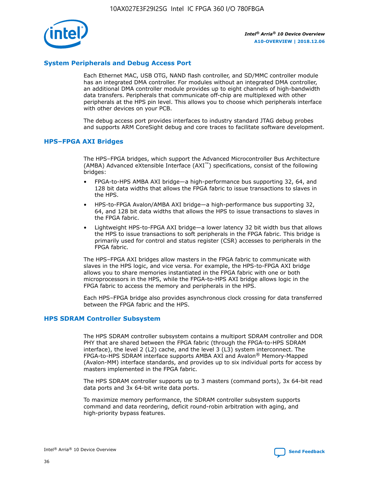

# **System Peripherals and Debug Access Port**

Each Ethernet MAC, USB OTG, NAND flash controller, and SD/MMC controller module has an integrated DMA controller. For modules without an integrated DMA controller, an additional DMA controller module provides up to eight channels of high-bandwidth data transfers. Peripherals that communicate off-chip are multiplexed with other peripherals at the HPS pin level. This allows you to choose which peripherals interface with other devices on your PCB.

The debug access port provides interfaces to industry standard JTAG debug probes and supports ARM CoreSight debug and core traces to facilitate software development.

#### **HPS–FPGA AXI Bridges**

The HPS–FPGA bridges, which support the Advanced Microcontroller Bus Architecture (AMBA) Advanced eXtensible Interface (AXI™) specifications, consist of the following bridges:

- FPGA-to-HPS AMBA AXI bridge—a high-performance bus supporting 32, 64, and 128 bit data widths that allows the FPGA fabric to issue transactions to slaves in the HPS.
- HPS-to-FPGA Avalon/AMBA AXI bridge—a high-performance bus supporting 32, 64, and 128 bit data widths that allows the HPS to issue transactions to slaves in the FPGA fabric.
- Lightweight HPS-to-FPGA AXI bridge—a lower latency 32 bit width bus that allows the HPS to issue transactions to soft peripherals in the FPGA fabric. This bridge is primarily used for control and status register (CSR) accesses to peripherals in the FPGA fabric.

The HPS–FPGA AXI bridges allow masters in the FPGA fabric to communicate with slaves in the HPS logic, and vice versa. For example, the HPS-to-FPGA AXI bridge allows you to share memories instantiated in the FPGA fabric with one or both microprocessors in the HPS, while the FPGA-to-HPS AXI bridge allows logic in the FPGA fabric to access the memory and peripherals in the HPS.

Each HPS–FPGA bridge also provides asynchronous clock crossing for data transferred between the FPGA fabric and the HPS.

#### **HPS SDRAM Controller Subsystem**

The HPS SDRAM controller subsystem contains a multiport SDRAM controller and DDR PHY that are shared between the FPGA fabric (through the FPGA-to-HPS SDRAM interface), the level 2 (L2) cache, and the level 3 (L3) system interconnect. The FPGA-to-HPS SDRAM interface supports AMBA AXI and Avalon® Memory-Mapped (Avalon-MM) interface standards, and provides up to six individual ports for access by masters implemented in the FPGA fabric.

The HPS SDRAM controller supports up to 3 masters (command ports), 3x 64-bit read data ports and 3x 64-bit write data ports.

To maximize memory performance, the SDRAM controller subsystem supports command and data reordering, deficit round-robin arbitration with aging, and high-priority bypass features.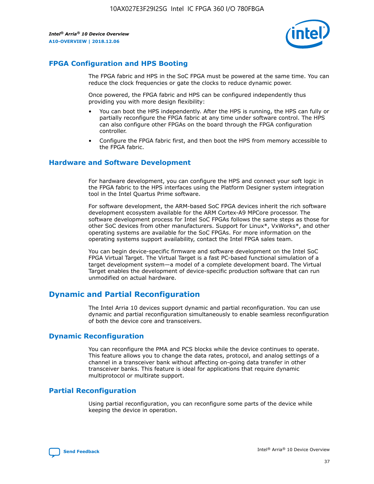

# **FPGA Configuration and HPS Booting**

The FPGA fabric and HPS in the SoC FPGA must be powered at the same time. You can reduce the clock frequencies or gate the clocks to reduce dynamic power.

Once powered, the FPGA fabric and HPS can be configured independently thus providing you with more design flexibility:

- You can boot the HPS independently. After the HPS is running, the HPS can fully or partially reconfigure the FPGA fabric at any time under software control. The HPS can also configure other FPGAs on the board through the FPGA configuration controller.
- Configure the FPGA fabric first, and then boot the HPS from memory accessible to the FPGA fabric.

## **Hardware and Software Development**

For hardware development, you can configure the HPS and connect your soft logic in the FPGA fabric to the HPS interfaces using the Platform Designer system integration tool in the Intel Quartus Prime software.

For software development, the ARM-based SoC FPGA devices inherit the rich software development ecosystem available for the ARM Cortex-A9 MPCore processor. The software development process for Intel SoC FPGAs follows the same steps as those for other SoC devices from other manufacturers. Support for Linux\*, VxWorks\*, and other operating systems are available for the SoC FPGAs. For more information on the operating systems support availability, contact the Intel FPGA sales team.

You can begin device-specific firmware and software development on the Intel SoC FPGA Virtual Target. The Virtual Target is a fast PC-based functional simulation of a target development system—a model of a complete development board. The Virtual Target enables the development of device-specific production software that can run unmodified on actual hardware.

# **Dynamic and Partial Reconfiguration**

The Intel Arria 10 devices support dynamic and partial reconfiguration. You can use dynamic and partial reconfiguration simultaneously to enable seamless reconfiguration of both the device core and transceivers.

# **Dynamic Reconfiguration**

You can reconfigure the PMA and PCS blocks while the device continues to operate. This feature allows you to change the data rates, protocol, and analog settings of a channel in a transceiver bank without affecting on-going data transfer in other transceiver banks. This feature is ideal for applications that require dynamic multiprotocol or multirate support.

# **Partial Reconfiguration**

Using partial reconfiguration, you can reconfigure some parts of the device while keeping the device in operation.

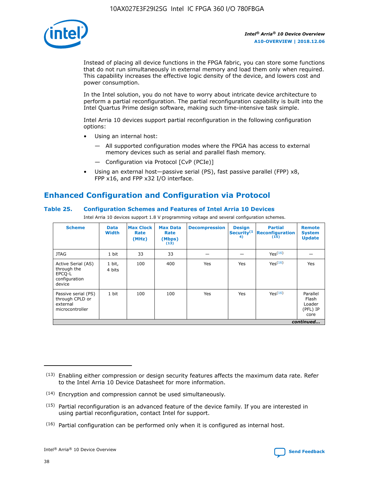

Instead of placing all device functions in the FPGA fabric, you can store some functions that do not run simultaneously in external memory and load them only when required. This capability increases the effective logic density of the device, and lowers cost and power consumption.

In the Intel solution, you do not have to worry about intricate device architecture to perform a partial reconfiguration. The partial reconfiguration capability is built into the Intel Quartus Prime design software, making such time-intensive task simple.

Intel Arria 10 devices support partial reconfiguration in the following configuration options:

- Using an internal host:
	- All supported configuration modes where the FPGA has access to external memory devices such as serial and parallel flash memory.
	- Configuration via Protocol [CvP (PCIe)]
- Using an external host—passive serial (PS), fast passive parallel (FPP) x8, FPP x16, and FPP x32 I/O interface.

# **Enhanced Configuration and Configuration via Protocol**

## **Table 25. Configuration Schemes and Features of Intel Arria 10 Devices**

Intel Arria 10 devices support 1.8 V programming voltage and several configuration schemes.

| <b>Scheme</b>                                                          | <b>Data</b><br><b>Width</b> | <b>Max Clock</b><br>Rate<br>(MHz) | <b>Max Data</b><br>Rate<br>(Mbps)<br>(13) | <b>Decompression</b> | <b>Design</b><br>Security <sup>(1</sup><br>4) | <b>Partial</b><br>Reconfiguration<br>(15) | <b>Remote</b><br><b>System</b><br><b>Update</b> |
|------------------------------------------------------------------------|-----------------------------|-----------------------------------|-------------------------------------------|----------------------|-----------------------------------------------|-------------------------------------------|-------------------------------------------------|
| <b>JTAG</b>                                                            | 1 bit                       | 33                                | 33                                        |                      |                                               | Yes <sup>(16)</sup>                       |                                                 |
| Active Serial (AS)<br>through the<br>EPCO-L<br>configuration<br>device | 1 bit,<br>4 bits            | 100                               | 400                                       | Yes                  | Yes                                           | Yes(16)                                   | Yes                                             |
| Passive serial (PS)<br>through CPLD or<br>external<br>microcontroller  | 1 bit                       | 100                               | 100                                       | Yes                  | Yes                                           | Yes(16)                                   | Parallel<br>Flash<br>Loader<br>(PFL) IP<br>core |
|                                                                        |                             |                                   |                                           |                      |                                               |                                           | continued                                       |

<sup>(13)</sup> Enabling either compression or design security features affects the maximum data rate. Refer to the Intel Arria 10 Device Datasheet for more information.

<sup>(14)</sup> Encryption and compression cannot be used simultaneously.

 $<sup>(15)</sup>$  Partial reconfiguration is an advanced feature of the device family. If you are interested in</sup> using partial reconfiguration, contact Intel for support.

 $(16)$  Partial configuration can be performed only when it is configured as internal host.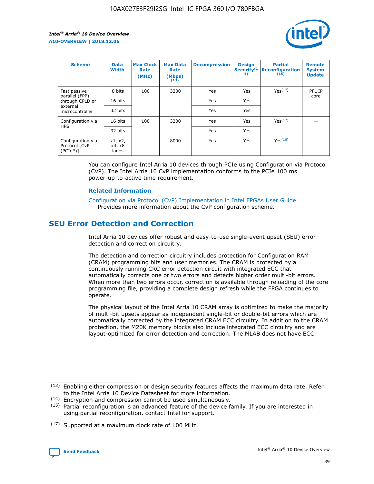

| <b>Scheme</b>                                   | <b>Data</b><br><b>Width</b> | <b>Max Clock</b><br>Rate<br>(MHz) | <b>Max Data</b><br>Rate<br>(Mbps)<br>(13) | <b>Decompression</b> | <b>Design</b><br>Security <sup>(1</sup><br>4) | <b>Partial</b><br><b>Reconfiguration</b><br>(15) | <b>Remote</b><br><b>System</b><br><b>Update</b> |
|-------------------------------------------------|-----------------------------|-----------------------------------|-------------------------------------------|----------------------|-----------------------------------------------|--------------------------------------------------|-------------------------------------------------|
| Fast passive                                    | 8 bits                      | 100                               | 3200                                      | Yes                  | Yes                                           | Yes(17)                                          | PFL IP                                          |
| parallel (FPP)<br>through CPLD or               | 16 bits                     |                                   |                                           | Yes                  | Yes                                           |                                                  | core                                            |
| external<br>microcontroller                     | 32 bits                     |                                   |                                           | Yes                  | Yes                                           |                                                  |                                                 |
| Configuration via                               | 16 bits                     | 100                               | 3200                                      | Yes                  | Yes                                           | Yes <sup>(17)</sup>                              |                                                 |
| <b>HPS</b>                                      | 32 bits                     |                                   |                                           | Yes                  | Yes                                           |                                                  |                                                 |
| Configuration via<br>Protocol [CvP<br>$(PCIe*)$ | x1, x2,<br>x4, x8<br>lanes  |                                   | 8000                                      | Yes                  | Yes                                           | Yes(16)                                          |                                                 |

You can configure Intel Arria 10 devices through PCIe using Configuration via Protocol (CvP). The Intel Arria 10 CvP implementation conforms to the PCIe 100 ms power-up-to-active time requirement.

#### **Related Information**

[Configuration via Protocol \(CvP\) Implementation in Intel FPGAs User Guide](https://www.intel.com/content/www/us/en/programmable/documentation/dsu1441819344145.html#dsu1442269728522) Provides more information about the CvP configuration scheme.

# **SEU Error Detection and Correction**

Intel Arria 10 devices offer robust and easy-to-use single-event upset (SEU) error detection and correction circuitry.

The detection and correction circuitry includes protection for Configuration RAM (CRAM) programming bits and user memories. The CRAM is protected by a continuously running CRC error detection circuit with integrated ECC that automatically corrects one or two errors and detects higher order multi-bit errors. When more than two errors occur, correction is available through reloading of the core programming file, providing a complete design refresh while the FPGA continues to operate.

The physical layout of the Intel Arria 10 CRAM array is optimized to make the majority of multi-bit upsets appear as independent single-bit or double-bit errors which are automatically corrected by the integrated CRAM ECC circuitry. In addition to the CRAM protection, the M20K memory blocks also include integrated ECC circuitry and are layout-optimized for error detection and correction. The MLAB does not have ECC.

(14) Encryption and compression cannot be used simultaneously.

<sup>(17)</sup> Supported at a maximum clock rate of 100 MHz.



 $(13)$  Enabling either compression or design security features affects the maximum data rate. Refer to the Intel Arria 10 Device Datasheet for more information.

 $(15)$  Partial reconfiguration is an advanced feature of the device family. If you are interested in using partial reconfiguration, contact Intel for support.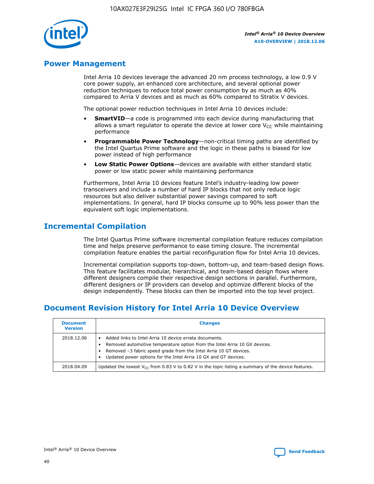

# **Power Management**

Intel Arria 10 devices leverage the advanced 20 nm process technology, a low 0.9 V core power supply, an enhanced core architecture, and several optional power reduction techniques to reduce total power consumption by as much as 40% compared to Arria V devices and as much as 60% compared to Stratix V devices.

The optional power reduction techniques in Intel Arria 10 devices include:

- **SmartVID**—a code is programmed into each device during manufacturing that allows a smart regulator to operate the device at lower core  $V_{CC}$  while maintaining performance
- **Programmable Power Technology**—non-critical timing paths are identified by the Intel Quartus Prime software and the logic in these paths is biased for low power instead of high performance
- **Low Static Power Options**—devices are available with either standard static power or low static power while maintaining performance

Furthermore, Intel Arria 10 devices feature Intel's industry-leading low power transceivers and include a number of hard IP blocks that not only reduce logic resources but also deliver substantial power savings compared to soft implementations. In general, hard IP blocks consume up to 90% less power than the equivalent soft logic implementations.

# **Incremental Compilation**

The Intel Quartus Prime software incremental compilation feature reduces compilation time and helps preserve performance to ease timing closure. The incremental compilation feature enables the partial reconfiguration flow for Intel Arria 10 devices.

Incremental compilation supports top-down, bottom-up, and team-based design flows. This feature facilitates modular, hierarchical, and team-based design flows where different designers compile their respective design sections in parallel. Furthermore, different designers or IP providers can develop and optimize different blocks of the design independently. These blocks can then be imported into the top level project.

# **Document Revision History for Intel Arria 10 Device Overview**

| <b>Document</b><br><b>Version</b> | <b>Changes</b>                                                                                                                                                                                                                                                              |
|-----------------------------------|-----------------------------------------------------------------------------------------------------------------------------------------------------------------------------------------------------------------------------------------------------------------------------|
| 2018.12.06                        | Added links to Intel Arria 10 device errata documents.<br>Removed automotive temperature option from the Intel Arria 10 GX devices.<br>Removed -3 fabric speed grade from the Intel Arria 10 GT devices.<br>Updated power options for the Intel Arria 10 GX and GT devices. |
| 2018.04.09                        | Updated the lowest $V_{CC}$ from 0.83 V to 0.82 V in the topic listing a summary of the device features.                                                                                                                                                                    |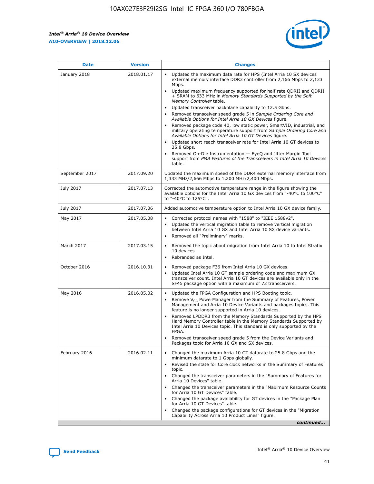$\overline{\phantom{a}}$ 

 $\mathsf{r}$ 



| January 2018<br>Updated the maximum data rate for HPS (Intel Arria 10 SX devices<br>2018.01.17<br>external memory interface DDR3 controller from 2,166 Mbps to 2,133<br>Mbps.<br>$\bullet$<br>+ SRAM to 633 MHz in Memory Standards Supported by the Soft<br>Memory Controller table.<br>Updated transceiver backplane capability to 12.5 Gbps.<br>$\bullet$<br>Removed transceiver speed grade 5 in Sample Ordering Core and<br>Available Options for Intel Arria 10 GX Devices figure.<br>Available Options for Intel Arria 10 GT Devices figure.<br>Updated short reach transceiver rate for Intel Arria 10 GT devices to<br>$\bullet$<br>25.8 Gbps.<br>Removed On-Die Instrumentation - EyeQ and Jitter Margin Tool<br>table.<br>2017.09.20<br>September 2017<br>1,333 MHz/2,666 Mbps to 1,200 MHz/2,400 Mbps.<br>July 2017<br>2017.07.13<br>Corrected the automotive temperature range in the figure showing the<br>available options for the Intel Arria 10 GX devices from "-40°C to 100°C"<br>to "-40°C to 125°C".<br>July 2017<br>2017.07.06<br>Added automotive temperature option to Intel Arria 10 GX device family.<br>2017.05.08<br>Corrected protocol names with "1588" to "IEEE 1588v2".<br>May 2017<br>$\bullet$<br>Updated the vertical migration table to remove vertical migration<br>$\bullet$<br>between Intel Arria 10 GX and Intel Arria 10 SX device variants.<br>Removed all "Preliminary" marks.<br>2017.03.15<br>March 2017<br>Removed the topic about migration from Intel Arria 10 to Intel Stratix<br>10 devices.<br>Rebranded as Intel.<br>$\bullet$<br>October 2016<br>2016.10.31<br>Removed package F36 from Intel Arria 10 GX devices.<br>$\bullet$<br>Updated Intel Arria 10 GT sample ordering code and maximum GX<br>$\bullet$<br>transceiver count. Intel Arria 10 GT devices are available only in the<br>SF45 package option with a maximum of 72 transceivers.<br>May 2016<br>2016.05.02<br>Updated the FPGA Configuration and HPS Booting topic.<br>Remove $V_{CC}$ PowerManager from the Summary of Features, Power<br>Management and Arria 10 Device Variants and packages topics. This<br>feature is no longer supported in Arria 10 devices.<br>Removed LPDDR3 from the Memory Standards Supported by the HPS<br>Hard Memory Controller table in the Memory Standards Supported by<br>Intel Arria 10 Devices topic. This standard is only supported by the<br>FPGA.<br>Removed transceiver speed grade 5 from the Device Variants and<br>Packages topic for Arria 10 GX and SX devices.<br>Changed the maximum Arria 10 GT datarate to 25.8 Gbps and the<br>February 2016<br>2016.02.11<br>minimum datarate to 1 Gbps globally.<br>Revised the state for Core clock networks in the Summary of Features<br>$\bullet$<br>topic.<br>• Changed the transceiver parameters in the "Summary of Features for<br>Arria 10 Devices" table.<br>for Arria 10 GT Devices" table.<br>• Changed the package availability for GT devices in the "Package Plan<br>for Arria 10 GT Devices" table.<br>Changed the package configurations for GT devices in the "Migration"<br>Capability Across Arria 10 Product Lines" figure. | <b>Date</b> | <b>Version</b> | <b>Changes</b>                                                                                                                                                                                                                                                                               |
|----------------------------------------------------------------------------------------------------------------------------------------------------------------------------------------------------------------------------------------------------------------------------------------------------------------------------------------------------------------------------------------------------------------------------------------------------------------------------------------------------------------------------------------------------------------------------------------------------------------------------------------------------------------------------------------------------------------------------------------------------------------------------------------------------------------------------------------------------------------------------------------------------------------------------------------------------------------------------------------------------------------------------------------------------------------------------------------------------------------------------------------------------------------------------------------------------------------------------------------------------------------------------------------------------------------------------------------------------------------------------------------------------------------------------------------------------------------------------------------------------------------------------------------------------------------------------------------------------------------------------------------------------------------------------------------------------------------------------------------------------------------------------------------------------------------------------------------------------------------------------------------------------------------------------------------------------------------------------------------------------------------------------------------------------------------------------------------------------------------------------------------------------------------------------------------------------------------------------------------------------------------------------------------------------------------------------------------------------------------------------------------------------------------------------------------------------------------------------------------------------------------------------------------------------------------------------------------------------------------------------------------------------------------------------------------------------------------------------------------------------------------------------------------------------------------------------------------------------------------------------------------------------------------------------------------------------------------------------------------------------------------------------------------------------------------------------------------------------------------------------------------------------------------|-------------|----------------|----------------------------------------------------------------------------------------------------------------------------------------------------------------------------------------------------------------------------------------------------------------------------------------------|
|                                                                                                                                                                                                                                                                                                                                                                                                                                                                                                                                                                                                                                                                                                                                                                                                                                                                                                                                                                                                                                                                                                                                                                                                                                                                                                                                                                                                                                                                                                                                                                                                                                                                                                                                                                                                                                                                                                                                                                                                                                                                                                                                                                                                                                                                                                                                                                                                                                                                                                                                                                                                                                                                                                                                                                                                                                                                                                                                                                                                                                                                                                                                                                |             |                | Updated maximum frequency supported for half rate QDRII and QDRII<br>Removed package code 40, low static power, SmartVID, industrial, and<br>military operating temperature support from Sample Ordering Core and<br>support from PMA Features of the Transceivers in Intel Arria 10 Devices |
|                                                                                                                                                                                                                                                                                                                                                                                                                                                                                                                                                                                                                                                                                                                                                                                                                                                                                                                                                                                                                                                                                                                                                                                                                                                                                                                                                                                                                                                                                                                                                                                                                                                                                                                                                                                                                                                                                                                                                                                                                                                                                                                                                                                                                                                                                                                                                                                                                                                                                                                                                                                                                                                                                                                                                                                                                                                                                                                                                                                                                                                                                                                                                                |             |                | Updated the maximum speed of the DDR4 external memory interface from                                                                                                                                                                                                                         |
|                                                                                                                                                                                                                                                                                                                                                                                                                                                                                                                                                                                                                                                                                                                                                                                                                                                                                                                                                                                                                                                                                                                                                                                                                                                                                                                                                                                                                                                                                                                                                                                                                                                                                                                                                                                                                                                                                                                                                                                                                                                                                                                                                                                                                                                                                                                                                                                                                                                                                                                                                                                                                                                                                                                                                                                                                                                                                                                                                                                                                                                                                                                                                                |             |                |                                                                                                                                                                                                                                                                                              |
|                                                                                                                                                                                                                                                                                                                                                                                                                                                                                                                                                                                                                                                                                                                                                                                                                                                                                                                                                                                                                                                                                                                                                                                                                                                                                                                                                                                                                                                                                                                                                                                                                                                                                                                                                                                                                                                                                                                                                                                                                                                                                                                                                                                                                                                                                                                                                                                                                                                                                                                                                                                                                                                                                                                                                                                                                                                                                                                                                                                                                                                                                                                                                                |             |                |                                                                                                                                                                                                                                                                                              |
|                                                                                                                                                                                                                                                                                                                                                                                                                                                                                                                                                                                                                                                                                                                                                                                                                                                                                                                                                                                                                                                                                                                                                                                                                                                                                                                                                                                                                                                                                                                                                                                                                                                                                                                                                                                                                                                                                                                                                                                                                                                                                                                                                                                                                                                                                                                                                                                                                                                                                                                                                                                                                                                                                                                                                                                                                                                                                                                                                                                                                                                                                                                                                                |             |                |                                                                                                                                                                                                                                                                                              |
|                                                                                                                                                                                                                                                                                                                                                                                                                                                                                                                                                                                                                                                                                                                                                                                                                                                                                                                                                                                                                                                                                                                                                                                                                                                                                                                                                                                                                                                                                                                                                                                                                                                                                                                                                                                                                                                                                                                                                                                                                                                                                                                                                                                                                                                                                                                                                                                                                                                                                                                                                                                                                                                                                                                                                                                                                                                                                                                                                                                                                                                                                                                                                                |             |                |                                                                                                                                                                                                                                                                                              |
|                                                                                                                                                                                                                                                                                                                                                                                                                                                                                                                                                                                                                                                                                                                                                                                                                                                                                                                                                                                                                                                                                                                                                                                                                                                                                                                                                                                                                                                                                                                                                                                                                                                                                                                                                                                                                                                                                                                                                                                                                                                                                                                                                                                                                                                                                                                                                                                                                                                                                                                                                                                                                                                                                                                                                                                                                                                                                                                                                                                                                                                                                                                                                                |             |                |                                                                                                                                                                                                                                                                                              |
|                                                                                                                                                                                                                                                                                                                                                                                                                                                                                                                                                                                                                                                                                                                                                                                                                                                                                                                                                                                                                                                                                                                                                                                                                                                                                                                                                                                                                                                                                                                                                                                                                                                                                                                                                                                                                                                                                                                                                                                                                                                                                                                                                                                                                                                                                                                                                                                                                                                                                                                                                                                                                                                                                                                                                                                                                                                                                                                                                                                                                                                                                                                                                                |             |                |                                                                                                                                                                                                                                                                                              |
|                                                                                                                                                                                                                                                                                                                                                                                                                                                                                                                                                                                                                                                                                                                                                                                                                                                                                                                                                                                                                                                                                                                                                                                                                                                                                                                                                                                                                                                                                                                                                                                                                                                                                                                                                                                                                                                                                                                                                                                                                                                                                                                                                                                                                                                                                                                                                                                                                                                                                                                                                                                                                                                                                                                                                                                                                                                                                                                                                                                                                                                                                                                                                                |             |                | Changed the transceiver parameters in the "Maximum Resource Counts"<br>continued                                                                                                                                                                                                             |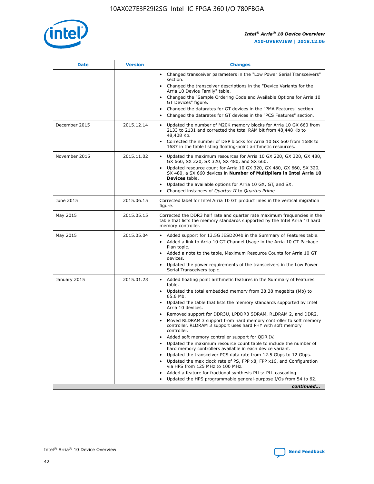

| <b>Date</b>   | <b>Version</b> | <b>Changes</b>                                                                                                                                                                   |
|---------------|----------------|----------------------------------------------------------------------------------------------------------------------------------------------------------------------------------|
|               |                | • Changed transceiver parameters in the "Low Power Serial Transceivers"<br>section.                                                                                              |
|               |                | • Changed the transceiver descriptions in the "Device Variants for the<br>Arria 10 Device Family" table.                                                                         |
|               |                | Changed the "Sample Ordering Code and Available Options for Arria 10<br>GT Devices" figure.                                                                                      |
|               |                | Changed the datarates for GT devices in the "PMA Features" section.                                                                                                              |
|               |                | Changed the datarates for GT devices in the "PCS Features" section.<br>$\bullet$                                                                                                 |
| December 2015 | 2015.12.14     | Updated the number of M20K memory blocks for Arria 10 GX 660 from<br>$\bullet$<br>2133 to 2131 and corrected the total RAM bit from 48,448 Kb to<br>48,408 Kb.                   |
|               |                | Corrected the number of DSP blocks for Arria 10 GX 660 from 1688 to<br>$\bullet$<br>1687 in the table listing floating-point arithmetic resources.                               |
| November 2015 | 2015.11.02     | Updated the maximum resources for Arria 10 GX 220, GX 320, GX 480,<br>$\bullet$<br>GX 660, SX 220, SX 320, SX 480, and SX 660.                                                   |
|               |                | Updated resource count for Arria 10 GX 320, GX 480, GX 660, SX 320,<br>$\bullet$<br>SX 480, a SX 660 devices in Number of Multipliers in Intel Arria 10<br><b>Devices</b> table. |
|               |                | Updated the available options for Arria 10 GX, GT, and SX.<br>$\bullet$                                                                                                          |
|               |                | Changed instances of Quartus II to Quartus Prime.<br>$\bullet$                                                                                                                   |
| June 2015     | 2015.06.15     | Corrected label for Intel Arria 10 GT product lines in the vertical migration<br>figure.                                                                                         |
| May 2015      | 2015.05.15     | Corrected the DDR3 half rate and quarter rate maximum frequencies in the<br>table that lists the memory standards supported by the Intel Arria 10 hard<br>memory controller.     |
| May 2015      | 2015.05.04     | • Added support for 13.5G JESD204b in the Summary of Features table.<br>• Added a link to Arria 10 GT Channel Usage in the Arria 10 GT Package<br>Plan topic.                    |
|               |                | • Added a note to the table, Maximum Resource Counts for Arria 10 GT<br>devices.                                                                                                 |
|               |                | Updated the power requirements of the transceivers in the Low Power<br>Serial Transceivers topic.                                                                                |
| January 2015  | 2015.01.23     | • Added floating point arithmetic features in the Summary of Features<br>table.                                                                                                  |
|               |                | • Updated the total embedded memory from 38.38 megabits (Mb) to<br>65.6 Mb.                                                                                                      |
|               |                | • Updated the table that lists the memory standards supported by Intel<br>Arria 10 devices.                                                                                      |
|               |                | Removed support for DDR3U, LPDDR3 SDRAM, RLDRAM 2, and DDR2.                                                                                                                     |
|               |                | Moved RLDRAM 3 support from hard memory controller to soft memory<br>controller. RLDRAM 3 support uses hard PHY with soft memory<br>controller.                                  |
|               |                | Added soft memory controller support for QDR IV.                                                                                                                                 |
|               |                | Updated the maximum resource count table to include the number of<br>hard memory controllers available in each device variant.                                                   |
|               |                | Updated the transceiver PCS data rate from 12.5 Gbps to 12 Gbps.<br>$\bullet$                                                                                                    |
|               |                | Updated the max clock rate of PS, FPP x8, FPP x16, and Configuration<br>via HPS from 125 MHz to 100 MHz.                                                                         |
|               |                | Added a feature for fractional synthesis PLLs: PLL cascading.                                                                                                                    |
|               |                | Updated the HPS programmable general-purpose I/Os from 54 to 62.                                                                                                                 |
|               |                | continued                                                                                                                                                                        |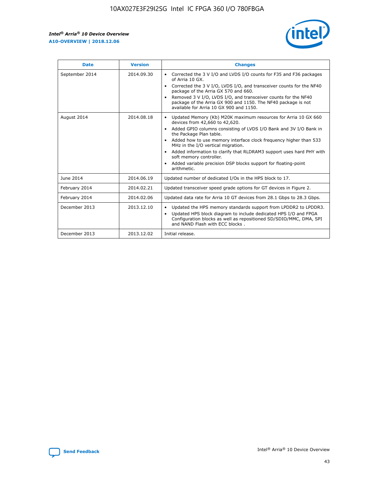

| <b>Date</b>    | <b>Version</b> | <b>Changes</b>                                                                                                                                                                                                                                                                                                                                                                                                                                                                                                                                                   |
|----------------|----------------|------------------------------------------------------------------------------------------------------------------------------------------------------------------------------------------------------------------------------------------------------------------------------------------------------------------------------------------------------------------------------------------------------------------------------------------------------------------------------------------------------------------------------------------------------------------|
| September 2014 | 2014.09.30     | Corrected the 3 V I/O and LVDS I/O counts for F35 and F36 packages<br>$\bullet$<br>of Arria 10 GX.<br>Corrected the 3 V I/O, LVDS I/O, and transceiver counts for the NF40<br>$\bullet$<br>package of the Arria GX 570 and 660.<br>Removed 3 V I/O, LVDS I/O, and transceiver counts for the NF40<br>$\bullet$<br>package of the Arria GX 900 and 1150. The NF40 package is not<br>available for Arria 10 GX 900 and 1150.                                                                                                                                       |
| August 2014    | 2014.08.18     | Updated Memory (Kb) M20K maximum resources for Arria 10 GX 660<br>$\bullet$<br>devices from 42,660 to 42,620.<br>Added GPIO columns consisting of LVDS I/O Bank and 3V I/O Bank in<br>$\bullet$<br>the Package Plan table.<br>Added how to use memory interface clock frequency higher than 533<br>$\bullet$<br>MHz in the I/O vertical migration.<br>Added information to clarify that RLDRAM3 support uses hard PHY with<br>$\bullet$<br>soft memory controller.<br>Added variable precision DSP blocks support for floating-point<br>$\bullet$<br>arithmetic. |
| June 2014      | 2014.06.19     | Updated number of dedicated I/Os in the HPS block to 17.                                                                                                                                                                                                                                                                                                                                                                                                                                                                                                         |
| February 2014  | 2014.02.21     | Updated transceiver speed grade options for GT devices in Figure 2.                                                                                                                                                                                                                                                                                                                                                                                                                                                                                              |
| February 2014  | 2014.02.06     | Updated data rate for Arria 10 GT devices from 28.1 Gbps to 28.3 Gbps.                                                                                                                                                                                                                                                                                                                                                                                                                                                                                           |
| December 2013  | 2013.12.10     | Updated the HPS memory standards support from LPDDR2 to LPDDR3.<br>٠<br>Updated HPS block diagram to include dedicated HPS I/O and FPGA<br>$\bullet$<br>Configuration blocks as well as repositioned SD/SDIO/MMC, DMA, SPI<br>and NAND Flash with ECC blocks.                                                                                                                                                                                                                                                                                                    |
| December 2013  | 2013.12.02     | Initial release.                                                                                                                                                                                                                                                                                                                                                                                                                                                                                                                                                 |